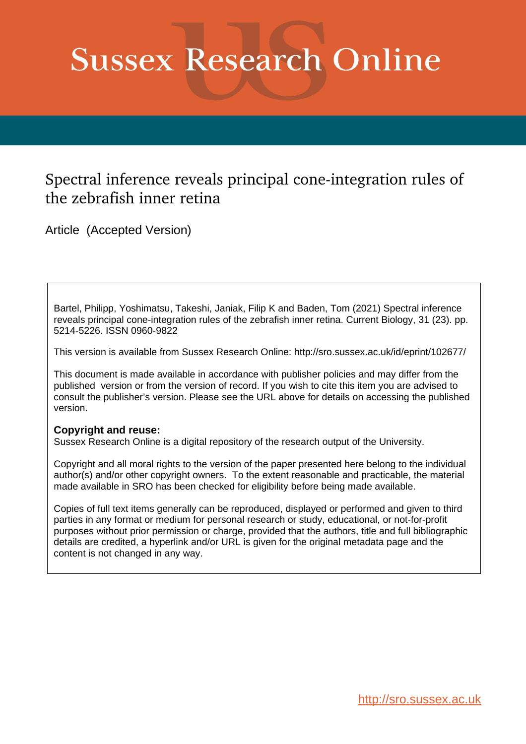# **Sussex Research Online**

## Spectral inference reveals principal cone-integration rules of the zebrafish inner retina

Article (Accepted Version)

Bartel, Philipp, Yoshimatsu, Takeshi, Janiak, Filip K and Baden, Tom (2021) Spectral inference reveals principal cone-integration rules of the zebrafish inner retina. Current Biology, 31 (23). pp. 5214-5226. ISSN 0960-9822

This version is available from Sussex Research Online: http://sro.sussex.ac.uk/id/eprint/102677/

This document is made available in accordance with publisher policies and may differ from the published version or from the version of record. If you wish to cite this item you are advised to consult the publisher's version. Please see the URL above for details on accessing the published version.

## **Copyright and reuse:**

Sussex Research Online is a digital repository of the research output of the University.

Copyright and all moral rights to the version of the paper presented here belong to the individual author(s) and/or other copyright owners. To the extent reasonable and practicable, the material made available in SRO has been checked for eligibility before being made available.

Copies of full text items generally can be reproduced, displayed or performed and given to third parties in any format or medium for personal research or study, educational, or not-for-profit purposes without prior permission or charge, provided that the authors, title and full bibliographic details are credited, a hyperlink and/or URL is given for the original metadata page and the content is not changed in any way.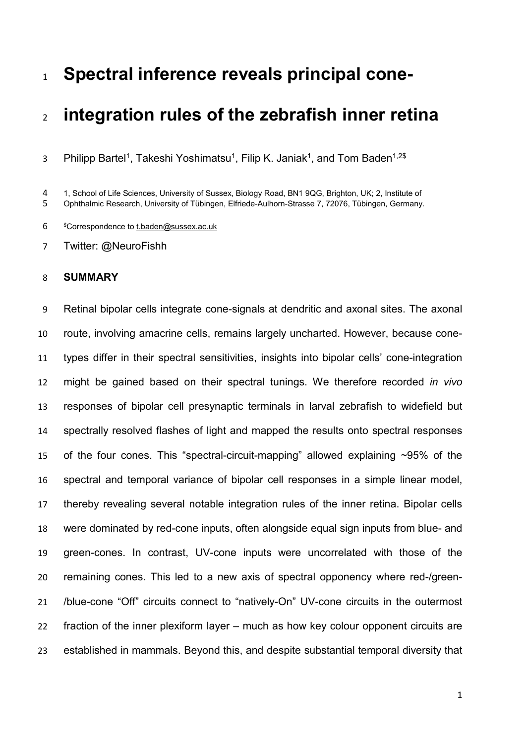# **Spectral inference reveals principal cone-**

# **integration rules of the zebrafish inner retina**

3 Philipp Bartel<sup>1</sup>, Takeshi Yoshimatsu<sup>1</sup>, Filip K. Janiak<sup>1</sup>, and Tom Baden<sup>1,2\$</sup>

1, School of Life Sciences, University of Sussex, Biology Road, BN1 9QG, Brighton, UK; 2, Institute of

Ophthalmic Research, University of Tübingen, Elfriede-Aulhorn-Strasse 7, 72076, Tübingen, Germany.

\$Correspondence to [t.baden@sussex.ac.uk](mailto:t.baden@sussex.ac.uk)

Twitter: @NeuroFishh

## **SUMMARY**

 Retinal bipolar cells integrate cone-signals at dendritic and axonal sites. The axonal route, involving amacrine cells, remains largely uncharted. However, because cone- types differ in their spectral sensitivities, insights into bipolar cells' cone-integration might be gained based on their spectral tunings. We therefore recorded *in vivo* responses of bipolar cell presynaptic terminals in larval zebrafish to widefield but spectrally resolved flashes of light and mapped the results onto spectral responses of the four cones. This "spectral-circuit-mapping" allowed explaining ~95% of the spectral and temporal variance of bipolar cell responses in a simple linear model, thereby revealing several notable integration rules of the inner retina. Bipolar cells were dominated by red-cone inputs, often alongside equal sign inputs from blue- and green-cones. In contrast, UV-cone inputs were uncorrelated with those of the remaining cones. This led to a new axis of spectral opponency where red-/green- /blue-cone "Off" circuits connect to "natively-On" UV-cone circuits in the outermost fraction of the inner plexiform layer – much as how key colour opponent circuits are established in mammals. Beyond this, and despite substantial temporal diversity that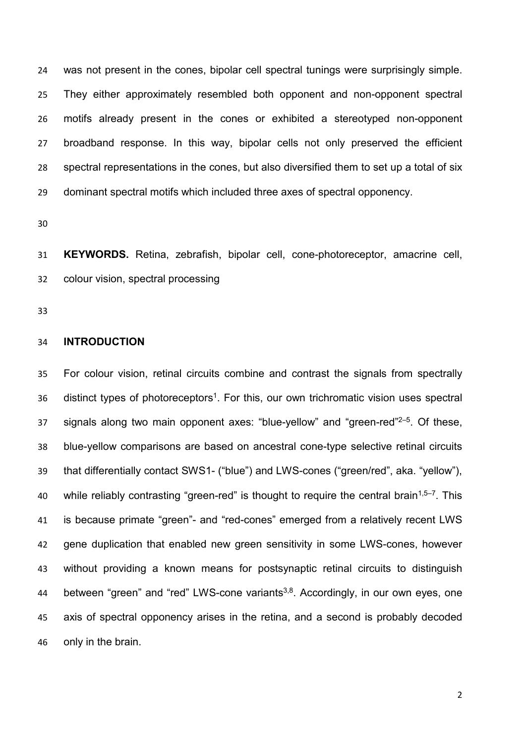was not present in the cones, bipolar cell spectral tunings were surprisingly simple. They either approximately resembled both opponent and non-opponent spectral motifs already present in the cones or exhibited a stereotyped non-opponent broadband response. In this way, bipolar cells not only preserved the efficient spectral representations in the cones, but also diversified them to set up a total of six dominant spectral motifs which included three axes of spectral opponency.

 **KEYWORDS.** Retina, zebrafish, bipolar cell, cone-photoreceptor, amacrine cell, colour vision, spectral processing

#### **INTRODUCTION**

 For colour vision, retinal circuits combine and contrast the signals from spectrally 36 distinct types of photoreceptors<sup>1</sup>. For this, our own trichromatic vision uses spectral signals along two main opponent axes: "blue-yellow" and "green-red" $2-5$ . Of these, blue-yellow comparisons are based on ancestral cone-type selective retinal circuits that differentially contact SWS1- ("blue") and LWS-cones ("green/red", aka. "yellow"), 40 while reliably contrasting "green-red" is thought to require the central brain<sup>1,5–7</sup>. This is because primate "green"- and "red-cones" emerged from a relatively recent LWS gene duplication that enabled new green sensitivity in some LWS-cones, however without providing a known means for postsynaptic retinal circuits to distinguish 44 between "green" and "red" LWS-cone variants<sup>3,8</sup>. Accordingly, in our own eyes, one axis of spectral opponency arises in the retina, and a second is probably decoded only in the brain.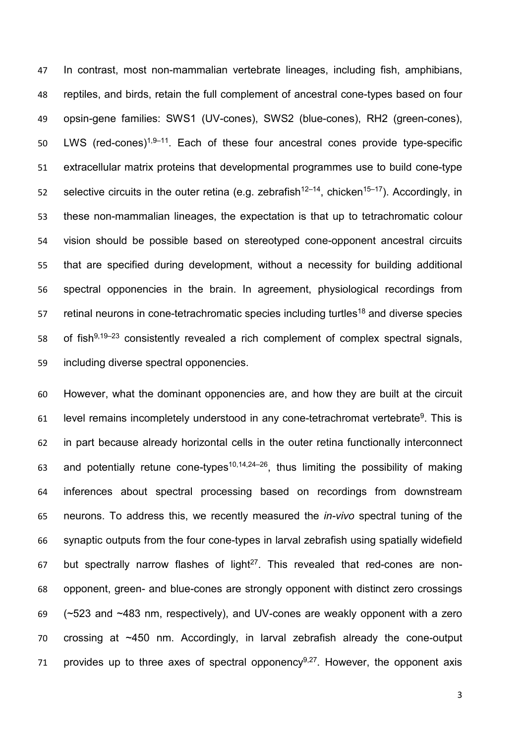In contrast, most non-mammalian vertebrate lineages, including fish, amphibians, reptiles, and birds, retain the full complement of ancestral cone-types based on four opsin-gene families: SWS1 (UV-cones), SWS2 (blue-cones), RH2 (green-cones), 50 LWS (red-cones)<sup>1,9–11</sup>. Each of these four ancestral cones provide type-specific extracellular matrix proteins that developmental programmes use to build cone-type s belective circuits in the outer retina (e.g. zebrafish<sup>12–14</sup>, chicken<sup>15–17</sup>). Accordingly, in these non-mammalian lineages, the expectation is that up to tetrachromatic colour vision should be possible based on stereotyped cone-opponent ancestral circuits that are specified during development, without a necessity for building additional spectral opponencies in the brain. In agreement, physiological recordings from retinal neurons in cone-tetrachromatic species including turtles<sup>18</sup> and diverse species 58 of fish $9,19-23$  consistently revealed a rich complement of complex spectral signals, including diverse spectral opponencies.

 However, what the dominant opponencies are, and how they are built at the circuit level remains incompletely understood in any cone-tetrachromat vertebrate<sup>9</sup>. This is in part because already horizontal cells in the outer retina functionally interconnect 63 and potentially retune cone-types<sup>10,14,24-26</sup>, thus limiting the possibility of making inferences about spectral processing based on recordings from downstream neurons. To address this, we recently measured the *in-vivo* spectral tuning of the synaptic outputs from the four cone-types in larval zebrafish using spatially widefield 67 but spectrally narrow flashes of light<sup>27</sup>. This revealed that red-cones are non- opponent, green- and blue-cones are strongly opponent with distinct zero crossings (~523 and ~483 nm, respectively), and UV-cones are weakly opponent with a zero crossing at ~450 nm. Accordingly, in larval zebrafish already the cone-output 71 provides up to three axes of spectral opponency<sup>9,27</sup>. However, the opponent axis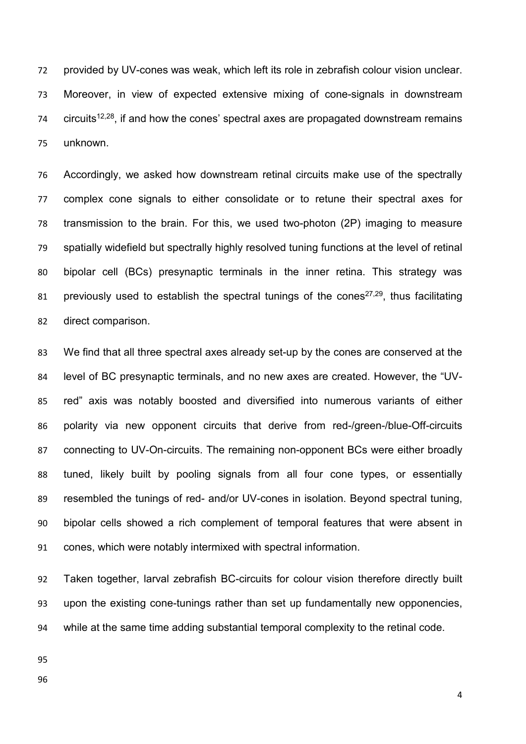provided by UV-cones was weak, which left its role in zebrafish colour vision unclear. Moreover, in view of expected extensive mixing of cone-signals in downstream circuits<sup>12,28</sup>, if and how the cones' spectral axes are propagated downstream remains unknown.

 Accordingly, we asked how downstream retinal circuits make use of the spectrally complex cone signals to either consolidate or to retune their spectral axes for transmission to the brain. For this, we used two-photon (2P) imaging to measure spatially widefield but spectrally highly resolved tuning functions at the level of retinal bipolar cell (BCs) presynaptic terminals in the inner retina. This strategy was 81 previously used to establish the spectral tunings of the cones<sup>27,29</sup>, thus facilitating direct comparison.

 We find that all three spectral axes already set-up by the cones are conserved at the level of BC presynaptic terminals, and no new axes are created. However, the "UV- red" axis was notably boosted and diversified into numerous variants of either polarity via new opponent circuits that derive from red-/green-/blue-Off-circuits connecting to UV-On-circuits. The remaining non-opponent BCs were either broadly tuned, likely built by pooling signals from all four cone types, or essentially resembled the tunings of red- and/or UV-cones in isolation. Beyond spectral tuning, bipolar cells showed a rich complement of temporal features that were absent in cones, which were notably intermixed with spectral information.

 Taken together, larval zebrafish BC-circuits for colour vision therefore directly built upon the existing cone-tunings rather than set up fundamentally new opponencies, while at the same time adding substantial temporal complexity to the retinal code.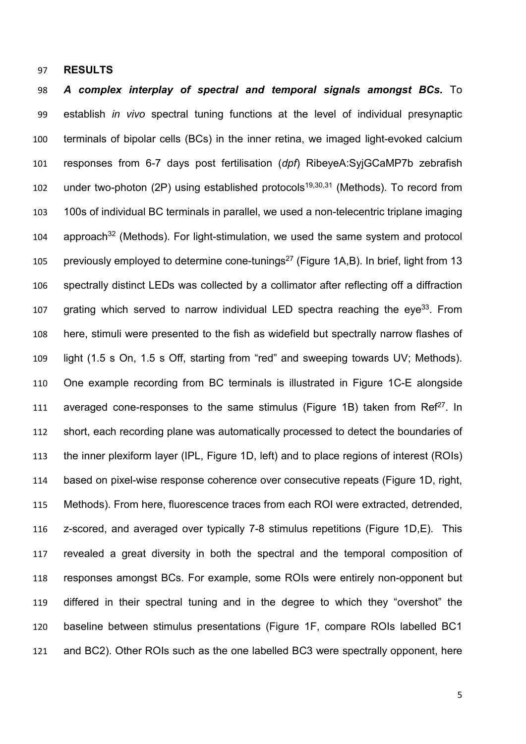#### **RESULTS**

 *A complex interplay of spectral and temporal signals amongst BCs.* To establish *in vivo* spectral tuning functions at the level of individual presynaptic terminals of bipolar cells (BCs) in the inner retina, we imaged light-evoked calcium responses from 6-7 days post fertilisation (*dpf*) RibeyeA:SyjGCaMP7b zebrafish 102 under two-photon (2P) using established protocols<sup>19,30,31</sup> (Methods). To record from 100s of individual BC terminals in parallel, we used a non-telecentric triplane imaging approach<sup>32</sup> (Methods). For light-stimulation, we used the same system and protocol previously employed to determine cone-tunings<sup>27</sup> (Figure 1A,B). In brief, light from 13 spectrally distinct LEDs was collected by a collimator after reflecting off a diffraction 107 grating which served to narrow individual LED spectra reaching the eye<sup>33</sup>. From here, stimuli were presented to the fish as widefield but spectrally narrow flashes of light (1.5 s On, 1.5 s Off, starting from "red" and sweeping towards UV; Methods). One example recording from BC terminals is illustrated in Figure 1C-E alongside 111 averaged cone-responses to the same stimulus (Figure 1B) taken from  $\text{Re}^{27}$ . In short, each recording plane was automatically processed to detect the boundaries of the inner plexiform layer (IPL, Figure 1D, left) and to place regions of interest (ROIs) based on pixel-wise response coherence over consecutive repeats (Figure 1D, right, Methods). From here, fluorescence traces from each ROI were extracted, detrended, z-scored, and averaged over typically 7-8 stimulus repetitions (Figure 1D,E). This revealed a great diversity in both the spectral and the temporal composition of responses amongst BCs. For example, some ROIs were entirely non-opponent but differed in their spectral tuning and in the degree to which they "overshot" the baseline between stimulus presentations (Figure 1F, compare ROIs labelled BC1 and BC2). Other ROIs such as the one labelled BC3 were spectrally opponent, here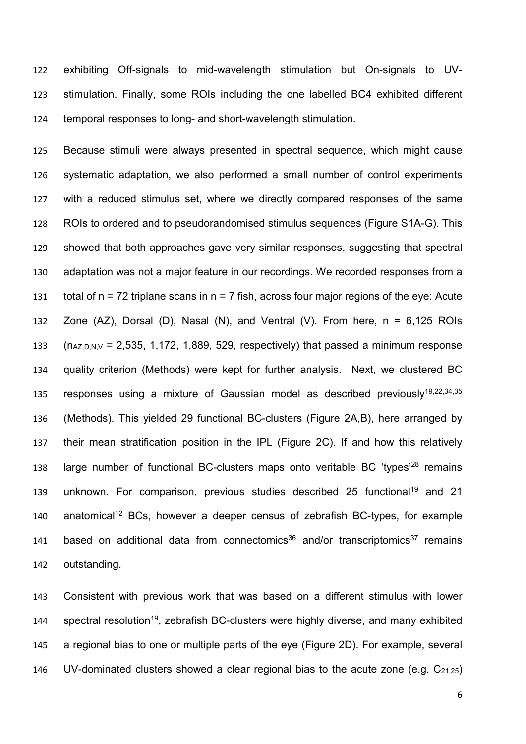exhibiting Off-signals to mid-wavelength stimulation but On-signals to UV- stimulation. Finally, some ROIs including the one labelled BC4 exhibited different temporal responses to long- and short-wavelength stimulation.

 Because stimuli were always presented in spectral sequence, which might cause systematic adaptation, we also performed a small number of control experiments with a reduced stimulus set, where we directly compared responses of the same ROIs to ordered and to pseudorandomised stimulus sequences (Figure S1A-G). This showed that both approaches gave very similar responses, suggesting that spectral adaptation was not a major feature in our recordings. We recorded responses from a 131 total of  $n = 72$  triplane scans in  $n = 7$  fish, across four major regions of the eye: Acute 132 Zone  $(AZ)$ , Dorsal  $(D)$ , Nasal  $(N)$ , and Ventral  $(V)$ . From here,  $n = 6,125$  ROIs (n<sub>AZ,D,N,V</sub> = 2,535, 1,172, 1,889, 529, respectively) that passed a minimum response quality criterion (Methods) were kept for further analysis. Next, we clustered BC 135 responses using a mixture of Gaussian model as described previously<sup>19,22,34,35</sup> (Methods). This yielded 29 functional BC-clusters (Figure 2A,B), here arranged by their mean stratification position in the IPL (Figure 2C). If and how this relatively 138 large number of functional BC-clusters maps onto veritable BC 'types'<sup>28</sup> remains 139 unknown. For comparison, previous studies described 25 functional<sup>19</sup> and 21 anatomical<sup>12</sup> BCs, however a deeper census of zebrafish BC-types, for example 141 based on additional data from connectomics<sup>36</sup> and/or transcriptomics<sup>37</sup> remains outstanding.

 Consistent with previous work that was based on a different stimulus with lower 144 spectral resolution<sup>19</sup>, zebrafish BC-clusters were highly diverse, and many exhibited a regional bias to one or multiple parts of the eye (Figure 2D). For example, several 146 UV-dominated clusters showed a clear regional bias to the acute zone (e.g.  $C_{21.25}$ )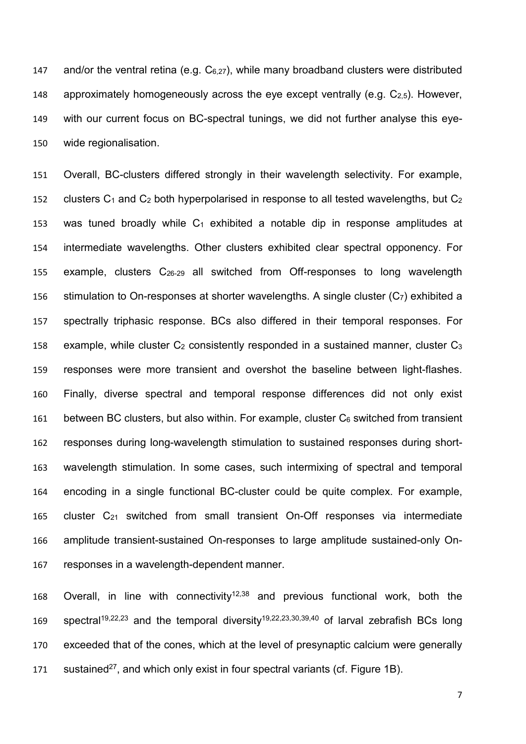147 and/or the ventral retina (e.g.  $C_{6,27}$ ), while many broadband clusters were distributed 148 approximately homogeneously across the eye except ventrally (e.g.  $C_{2.5}$ ). However, 149 with our current focus on BC-spectral tunings, we did not further analyse this eye-150 wide regionalisation.

 Overall, BC-clusters differed strongly in their wavelength selectivity. For example, 152 clusters  $C_1$  and  $C_2$  both hyperpolarised in response to all tested wavelengths, but  $C_2$ 153 was tuned broadly while  $C_1$  exhibited a notable dip in response amplitudes at intermediate wavelengths. Other clusters exhibited clear spectral opponency. For example, clusters C26-29 all switched from Off-responses to long wavelength 156 stimulation to On-responses at shorter wavelengths. A single cluster  $(C_7)$  exhibited a spectrally triphasic response. BCs also differed in their temporal responses. For 158 example, while cluster  $C_2$  consistently responded in a sustained manner, cluster  $C_3$  responses were more transient and overshot the baseline between light-flashes. Finally, diverse spectral and temporal response differences did not only exist 161 between BC clusters, but also within. For example, cluster  $C_6$  switched from transient responses during long-wavelength stimulation to sustained responses during short- wavelength stimulation. In some cases, such intermixing of spectral and temporal encoding in a single functional BC-cluster could be quite complex. For example, 165 cluster  $C_{21}$  switched from small transient On-Off responses via intermediate amplitude transient-sustained On-responses to large amplitude sustained-only On-responses in a wavelength-dependent manner.

168 Overall, in line with connectivity<sup>12,38</sup> and previous functional work, both the 169 spectral<sup>19,22,23</sup> and the temporal diversity<sup>19,22,23,30,39,40</sup> of larval zebrafish BCs long 170 exceeded that of the cones, which at the level of presynaptic calcium were generally 171 sustained<sup>27</sup>, and which only exist in four spectral variants (cf. Figure 1B).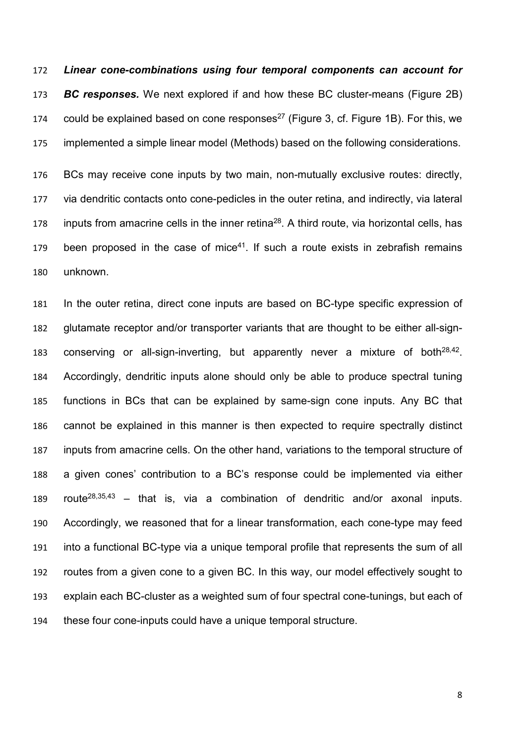*Linear cone-combinations using four temporal components can account for BC responses.* We next explored if and how these BC cluster-means (Figure 2B) 174 could be explained based on cone responses<sup>27</sup> (Figure 3, cf. Figure 1B). For this, we implemented a simple linear model (Methods) based on the following considerations.

 BCs may receive cone inputs by two main, non-mutually exclusive routes: directly, via dendritic contacts onto cone-pedicles in the outer retina, and indirectly, via lateral 178 inputs from amacrine cells in the inner retina<sup>28</sup>. A third route, via horizontal cells, has 179 been proposed in the case of mice<sup>41</sup>. If such a route exists in zebrafish remains unknown.

 In the outer retina, direct cone inputs are based on BC-type specific expression of glutamate receptor and/or transporter variants that are thought to be either all-sign-183 conserving or all-sign-inverting, but apparently never a mixture of both $28,42$ . Accordingly, dendritic inputs alone should only be able to produce spectral tuning functions in BCs that can be explained by same-sign cone inputs. Any BC that cannot be explained in this manner is then expected to require spectrally distinct inputs from amacrine cells. On the other hand, variations to the temporal structure of a given cones' contribution to a BC's response could be implemented via either 189 route<sup>28,35,43</sup> – that is, via a combination of dendritic and/or axonal inputs. Accordingly, we reasoned that for a linear transformation, each cone-type may feed into a functional BC-type via a unique temporal profile that represents the sum of all routes from a given cone to a given BC. In this way, our model effectively sought to explain each BC-cluster as a weighted sum of four spectral cone-tunings, but each of these four cone-inputs could have a unique temporal structure.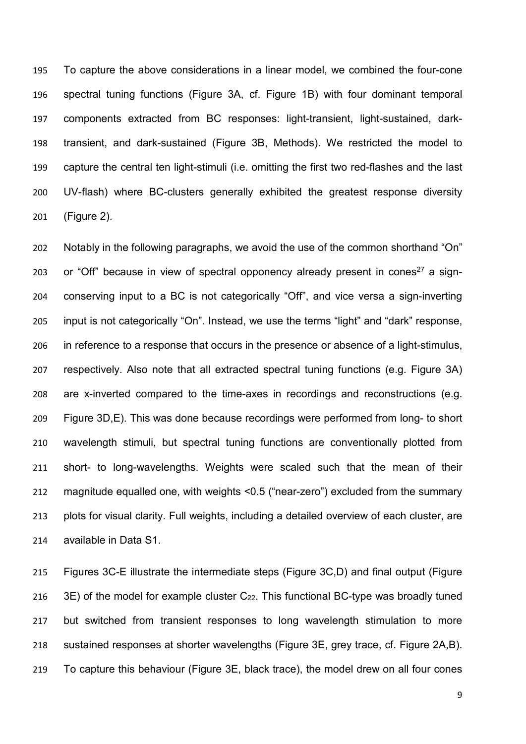To capture the above considerations in a linear model, we combined the four-cone spectral tuning functions (Figure 3A, cf. Figure 1B) with four dominant temporal components extracted from BC responses: light-transient, light-sustained, dark- transient, and dark-sustained (Figure 3B, Methods). We restricted the model to capture the central ten light-stimuli (i.e. omitting the first two red-flashes and the last UV-flash) where BC-clusters generally exhibited the greatest response diversity (Figure 2).

 Notably in the following paragraphs, we avoid the use of the common shorthand "On" 203 or "Off" because in view of spectral opponency already present in cones<sup>27</sup> a sign- conserving input to a BC is not categorically "Off", and vice versa a sign-inverting input is not categorically "On". Instead, we use the terms "light" and "dark" response, in reference to a response that occurs in the presence or absence of a light-stimulus, respectively. Also note that all extracted spectral tuning functions (e.g. Figure 3A) are x-inverted compared to the time-axes in recordings and reconstructions (e.g. Figure 3D,E). This was done because recordings were performed from long- to short wavelength stimuli, but spectral tuning functions are conventionally plotted from short- to long-wavelengths. Weights were scaled such that the mean of their magnitude equalled one, with weights <0.5 ("near-zero") excluded from the summary plots for visual clarity. Full weights, including a detailed overview of each cluster, are available in Data S1.

 Figures 3C-E illustrate the intermediate steps (Figure 3C,D) and final output (Figure  $3E$ ) of the model for example cluster  $C_{22}$ . This functional BC-type was broadly tuned but switched from transient responses to long wavelength stimulation to more sustained responses at shorter wavelengths (Figure 3E, grey trace, cf. Figure 2A,B). To capture this behaviour (Figure 3E, black trace), the model drew on all four cones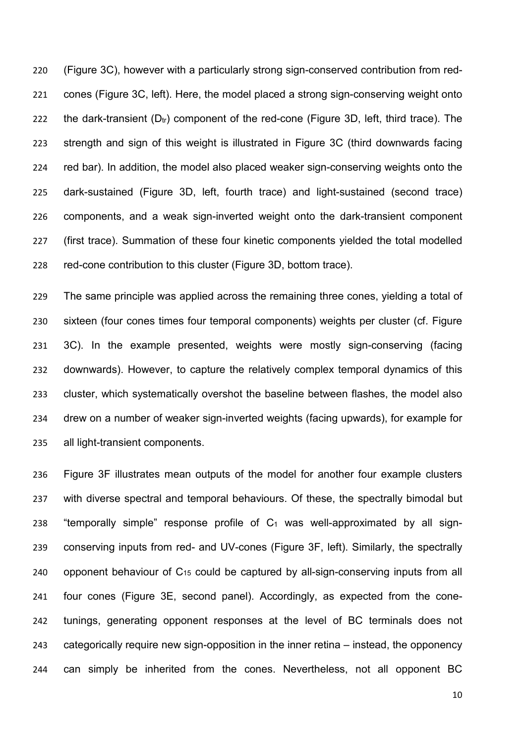(Figure 3C), however with a particularly strong sign-conserved contribution from red- cones (Figure 3C, left). Here, the model placed a strong sign-conserving weight onto 222 the dark-transient  $(D_{tr})$  component of the red-cone (Figure 3D, left, third trace). The strength and sign of this weight is illustrated in Figure 3C (third downwards facing red bar). In addition, the model also placed weaker sign-conserving weights onto the dark-sustained (Figure 3D, left, fourth trace) and light-sustained (second trace) components, and a weak sign-inverted weight onto the dark-transient component (first trace). Summation of these four kinetic components yielded the total modelled red-cone contribution to this cluster (Figure 3D, bottom trace).

 The same principle was applied across the remaining three cones, yielding a total of sixteen (four cones times four temporal components) weights per cluster (cf. Figure 3C). In the example presented, weights were mostly sign-conserving (facing downwards). However, to capture the relatively complex temporal dynamics of this cluster, which systematically overshot the baseline between flashes, the model also drew on a number of weaker sign-inverted weights (facing upwards), for example for all light-transient components.

 Figure 3F illustrates mean outputs of the model for another four example clusters with diverse spectral and temporal behaviours. Of these, the spectrally bimodal but 238 "temporally simple" response profile of  $C_1$  was well-approximated by all sign- conserving inputs from red- and UV-cones (Figure 3F, left). Similarly, the spectrally 240 opponent behaviour of  $C_{15}$  could be captured by all-sign-conserving inputs from all four cones (Figure 3E, second panel). Accordingly, as expected from the cone- tunings, generating opponent responses at the level of BC terminals does not categorically require new sign-opposition in the inner retina – instead, the opponency can simply be inherited from the cones. Nevertheless, not all opponent BC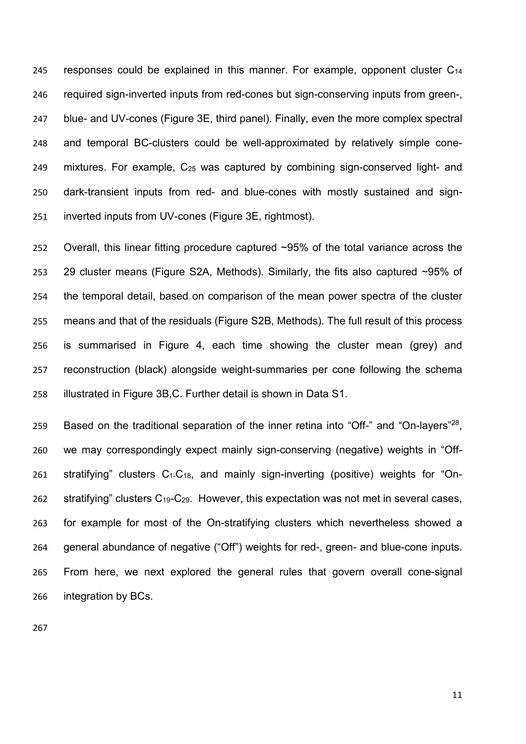245 responses could be explained in this manner. For example, opponent cluster  $C_{14}$  required sign-inverted inputs from red-cones but sign-conserving inputs from green-, blue- and UV-cones (Figure 3E, third panel). Finally, even the more complex spectral and temporal BC-clusters could be well-approximated by relatively simple cone- mixtures. For example, C25 was captured by combining sign-conserved light- and dark-transient inputs from red- and blue-cones with mostly sustained and sign-inverted inputs from UV-cones (Figure 3E, rightmost).

 Overall, this linear fitting procedure captured ~95% of the total variance across the 29 cluster means (Figure S2A, Methods). Similarly, the fits also captured ~95% of the temporal detail, based on comparison of the mean power spectra of the cluster means and that of the residuals (Figure S2B, Methods). The full result of this process is summarised in Figure 4, each time showing the cluster mean (grey) and reconstruction (black) alongside weight-summaries per cone following the schema illustrated in Figure 3B,C. Further detail is shown in Data S1.

259 Based on the traditional separation of the inner retina into "Off-" and "On-layers"<sup>28</sup>, we may correspondingly expect mainly sign-conserving (negative) weights in "Off-261 stratifying" clusters  $C_1-C_{18}$ , and mainly sign-inverting (positive) weights for "On- stratifying" clusters C19-C29. However, this expectation was not met in several cases, for example for most of the On-stratifying clusters which nevertheless showed a general abundance of negative ("Off") weights for red-, green- and blue-cone inputs. From here, we next explored the general rules that govern overall cone-signal integration by BCs.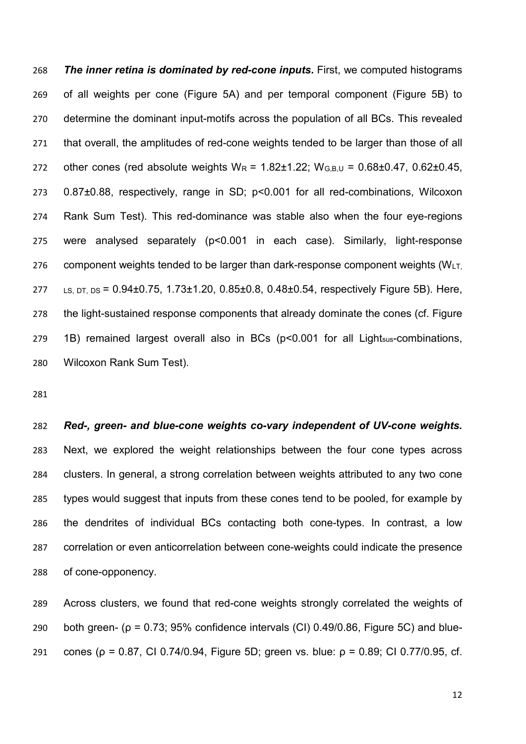*The inner retina is dominated by red-cone inputs***.** First, we computed histograms of all weights per cone (Figure 5A) and per temporal component (Figure 5B) to determine the dominant input-motifs across the population of all BCs. This revealed that overall, the amplitudes of red-cone weights tended to be larger than those of all 272 other cones (red absolute weights  $W_R = 1.82 \pm 1.22$ ;  $W_{G,B,U} = 0.68 \pm 0.47$ , 0.62 $\pm$ 0.45, 0.87±0.88, respectively, range in SD; p<0.001 for all red-combinations, Wilcoxon Rank Sum Test). This red-dominance was stable also when the four eye-regions were analysed separately (p<0.001 in each case). Similarly, light-response 276 component weights tended to be larger than dark-response component weights  $(WLT)$  LS, DT, DS = 0.94±0.75, 1.73±1.20, 0.85±0.8, 0.48±0.54, respectively Figure 5B). Here, the light-sustained response components that already dominate the cones (cf. Figure 1B) remained largest overall also in BCs (p<0.001 for all Lightsus-combinations, Wilcoxon Rank Sum Test).

 *Red-, green- and blue-cone weights co-vary independent of UV-cone weights.* Next, we explored the weight relationships between the four cone types across clusters. In general, a strong correlation between weights attributed to any two cone types would suggest that inputs from these cones tend to be pooled, for example by the dendrites of individual BCs contacting both cone-types. In contrast, a low correlation or even anticorrelation between cone-weights could indicate the presence of cone-opponency.

 Across clusters, we found that red-cone weights strongly correlated the weights of 290 both green- ( $\rho = 0.73$ ; 95% confidence intervals (CI) 0.49/0.86, Figure 5C) and blue-291 cones (ρ = 0.87, CI 0.74/0.94, Figure 5D; green vs. blue: ρ = 0.89; CI 0.77/0.95, cf.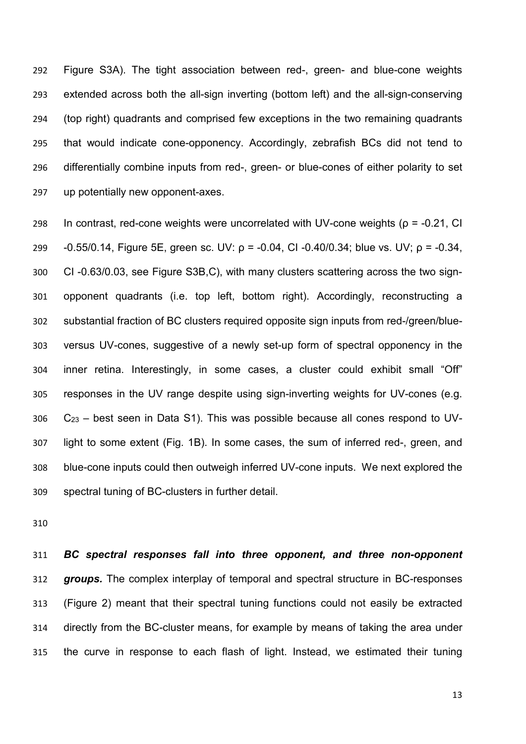Figure S3A). The tight association between red-, green- and blue-cone weights extended across both the all-sign inverting (bottom left) and the all-sign-conserving (top right) quadrants and comprised few exceptions in the two remaining quadrants that would indicate cone-opponency. Accordingly, zebrafish BCs did not tend to differentially combine inputs from red-, green- or blue-cones of either polarity to set up potentially new opponent-axes.

298 In contrast, red-cone weights were uncorrelated with UV-cone weights ( $\rho$  = -0.21, CI -0.55/0.14, Figure 5E, green sc. UV: ρ = -0.04, CI -0.40/0.34; blue vs. UV; ρ = -0.34, CI -0.63/0.03, see Figure S3B,C), with many clusters scattering across the two sign- opponent quadrants (i.e. top left, bottom right). Accordingly, reconstructing a substantial fraction of BC clusters required opposite sign inputs from red-/green/blue- versus UV-cones, suggestive of a newly set-up form of spectral opponency in the inner retina. Interestingly, in some cases, a cluster could exhibit small "Off" responses in the UV range despite using sign-inverting weights for UV-cones (e.g. C23 – best seen in Data S1). This was possible because all cones respond to UV- light to some extent (Fig. 1B). In some cases, the sum of inferred red-, green, and blue-cone inputs could then outweigh inferred UV-cone inputs. We next explored the spectral tuning of BC-clusters in further detail.

 *BC spectral responses fall into three opponent, and three non-opponent groups.* The complex interplay of temporal and spectral structure in BC-responses (Figure 2) meant that their spectral tuning functions could not easily be extracted directly from the BC-cluster means, for example by means of taking the area under the curve in response to each flash of light. Instead, we estimated their tuning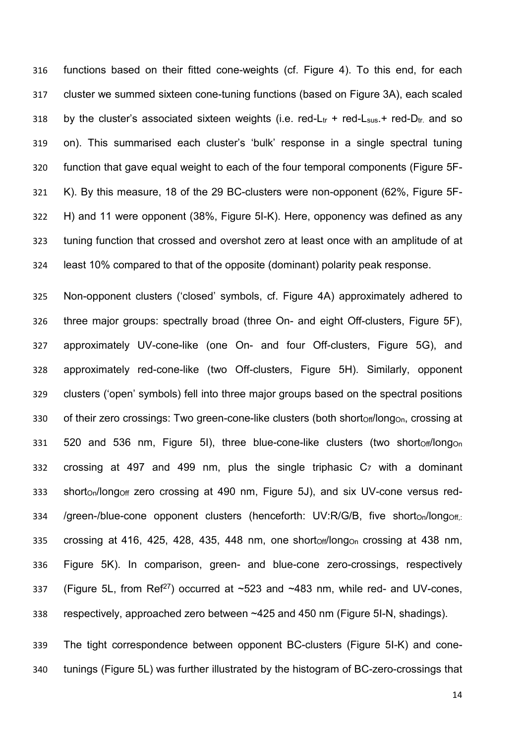functions based on their fitted cone-weights (cf. Figure 4). To this end, for each cluster we summed sixteen cone-tuning functions (based on Figure 3A), each scaled 318 by the cluster's associated sixteen weights (i.e. red-Lt<sub>r</sub> + red-L<sub>sus</sub> + red-D<sub>tr</sub> and so on). This summarised each cluster's 'bulk' response in a single spectral tuning function that gave equal weight to each of the four temporal components (Figure 5F- K). By this measure, 18 of the 29 BC-clusters were non-opponent (62%, Figure 5F- H) and 11 were opponent (38%, Figure 5I-K). Here, opponency was defined as any tuning function that crossed and overshot zero at least once with an amplitude of at least 10% compared to that of the opposite (dominant) polarity peak response.

 Non-opponent clusters ('closed' symbols, cf. Figure 4A) approximately adhered to three major groups: spectrally broad (three On- and eight Off-clusters, Figure 5F), approximately UV-cone-like (one On- and four Off-clusters, Figure 5G), and approximately red-cone-like (two Off-clusters, Figure 5H). Similarly, opponent clusters ('open' symbols) fell into three major groups based on the spectral positions 330 of their zero crossings: Two green-cone-like clusters (both shortoff/longon, crossing at 331 520 and 536 nm, Figure 5I), three blue-cone-like clusters (two short $ofoff/long<sub>On</sub>$  crossing at 497 and 499 nm, plus the single triphasic C7 with a dominant 333 shorton/longoff zero crossing at 490 nm, Figure 5J), and six UV-cone versus red-334 /green-/blue-cone opponent clusters (henceforth: UV:R/G/B, five short<sub>On</sub>/long<sub>Off,:</sub> 335 crossing at 416, 425, 428, 435, 448 nm, one shortoff/longon crossing at 438 nm, Figure 5K). In comparison, green- and blue-cone zero-crossings, respectively 337 (Figure 5L, from Ref<sup>27</sup>) occurred at  $\sim$ 523 and  $\sim$ 483 nm, while red- and UV-cones, respectively, approached zero between ~425 and 450 nm (Figure 5I-N, shadings).

 The tight correspondence between opponent BC-clusters (Figure 5I-K) and cone-tunings (Figure 5L) was further illustrated by the histogram of BC-zero-crossings that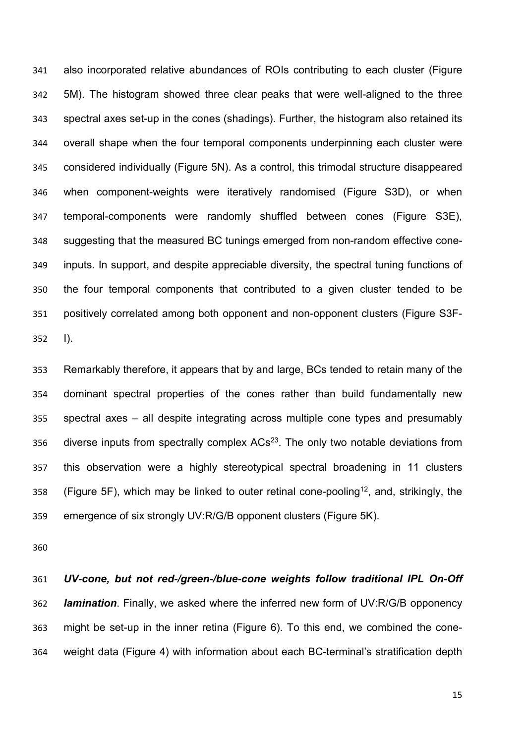also incorporated relative abundances of ROIs contributing to each cluster (Figure 5M). The histogram showed three clear peaks that were well-aligned to the three spectral axes set-up in the cones (shadings). Further, the histogram also retained its overall shape when the four temporal components underpinning each cluster were considered individually (Figure 5N). As a control, this trimodal structure disappeared when component-weights were iteratively randomised (Figure S3D), or when temporal-components were randomly shuffled between cones (Figure S3E), suggesting that the measured BC tunings emerged from non-random effective cone- inputs. In support, and despite appreciable diversity, the spectral tuning functions of the four temporal components that contributed to a given cluster tended to be positively correlated among both opponent and non-opponent clusters (Figure S3F-I).

 Remarkably therefore, it appears that by and large, BCs tended to retain many of the dominant spectral properties of the cones rather than build fundamentally new spectral axes – all despite integrating across multiple cone types and presumably 356 diverse inputs from spectrally complex  $ACs<sup>23</sup>$ . The only two notable deviations from this observation were a highly stereotypical spectral broadening in 11 clusters 358 (Figure 5F), which may be linked to outer retinal cone-pooling<sup>12</sup>, and, strikingly, the emergence of six strongly UV:R/G/B opponent clusters (Figure 5K).

 *UV-cone, but not red-/green-/blue-cone weights follow traditional IPL On-Off lamination*. Finally, we asked where the inferred new form of UV:R/G/B opponency might be set-up in the inner retina (Figure 6). To this end, we combined the cone-weight data (Figure 4) with information about each BC-terminal's stratification depth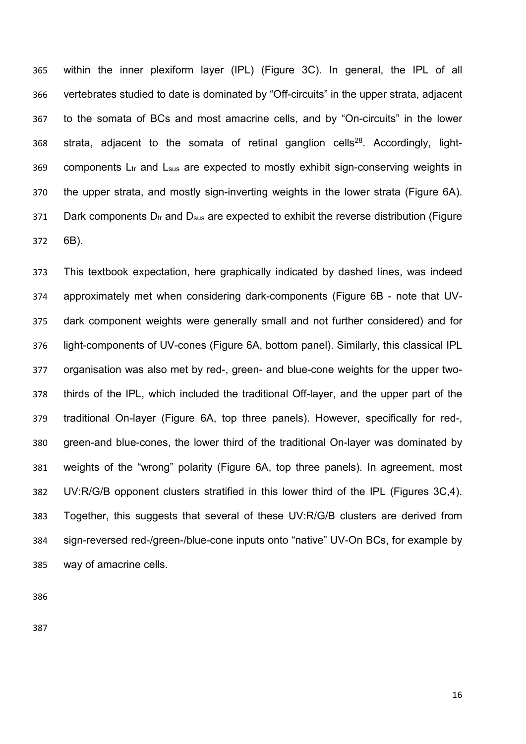within the inner plexiform layer (IPL) (Figure 3C). In general, the IPL of all vertebrates studied to date is dominated by "Off-circuits" in the upper strata, adjacent to the somata of BCs and most amacrine cells, and by "On-circuits" in the lower 368 strata, adjacent to the somata of retinal ganglion cells<sup>28</sup>. Accordingly, light-369 components  $L_{tr}$  and  $L_{sus}$  are expected to mostly exhibit sign-conserving weights in the upper strata, and mostly sign-inverting weights in the lower strata (Figure 6A). 371 Dark components  $D_{tr}$  and  $D_{sus}$  are expected to exhibit the reverse distribution (Figure 6B).

 This textbook expectation, here graphically indicated by dashed lines, was indeed approximately met when considering dark-components (Figure 6B - note that UV- dark component weights were generally small and not further considered) and for light-components of UV-cones (Figure 6A, bottom panel). Similarly, this classical IPL organisation was also met by red-, green- and blue-cone weights for the upper two- thirds of the IPL, which included the traditional Off-layer, and the upper part of the traditional On-layer (Figure 6A, top three panels). However, specifically for red-, green-and blue-cones, the lower third of the traditional On-layer was dominated by weights of the "wrong" polarity (Figure 6A, top three panels). In agreement, most UV:R/G/B opponent clusters stratified in this lower third of the IPL (Figures 3C,4). Together, this suggests that several of these UV:R/G/B clusters are derived from sign-reversed red-/green-/blue-cone inputs onto "native" UV-On BCs, for example by way of amacrine cells.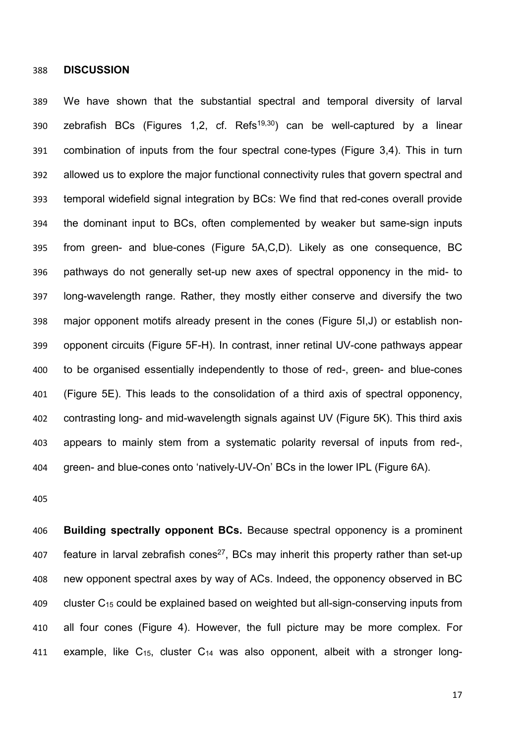**DISCUSSION**

 We have shown that the substantial spectral and temporal diversity of larval 390 zebrafish BCs (Figures 1,2, cf. Refs<sup>19,30</sup>) can be well-captured by a linear combination of inputs from the four spectral cone-types (Figure 3,4). This in turn allowed us to explore the major functional connectivity rules that govern spectral and temporal widefield signal integration by BCs: We find that red-cones overall provide the dominant input to BCs, often complemented by weaker but same-sign inputs from green- and blue-cones (Figure 5A,C,D). Likely as one consequence, BC pathways do not generally set-up new axes of spectral opponency in the mid- to long-wavelength range. Rather, they mostly either conserve and diversify the two major opponent motifs already present in the cones (Figure 5I,J) or establish non- opponent circuits (Figure 5F-H). In contrast, inner retinal UV-cone pathways appear to be organised essentially independently to those of red-, green- and blue-cones (Figure 5E). This leads to the consolidation of a third axis of spectral opponency, contrasting long- and mid-wavelength signals against UV (Figure 5K). This third axis appears to mainly stem from a systematic polarity reversal of inputs from red-, green- and blue-cones onto 'natively-UV-On' BCs in the lower IPL (Figure 6A).

 **Building spectrally opponent BCs.** Because spectral opponency is a prominent 407 feature in larval zebrafish cones<sup>27</sup>, BCs may inherit this property rather than set-up new opponent spectral axes by way of ACs. Indeed, the opponency observed in BC cluster C15 could be explained based on weighted but all-sign-conserving inputs from all four cones (Figure 4). However, the full picture may be more complex. For 411 example, like  $C_{15}$ , cluster  $C_{14}$  was also opponent, albeit with a stronger long-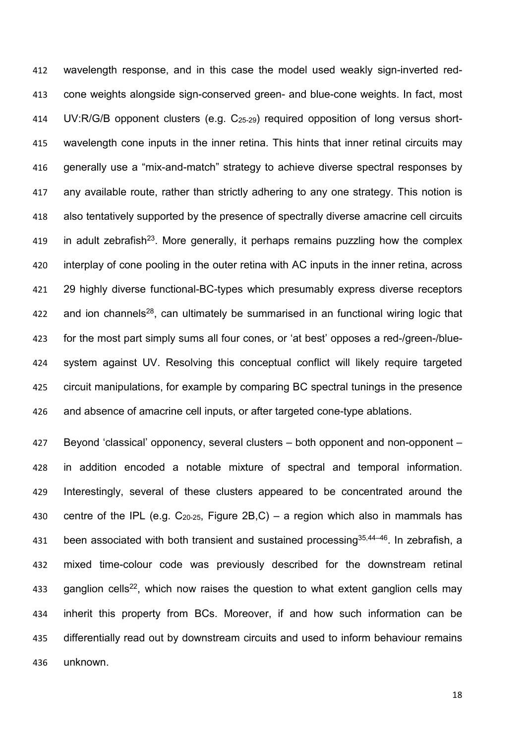wavelength response, and in this case the model used weakly sign-inverted red- cone weights alongside sign-conserved green- and blue-cone weights. In fact, most UV:R/G/B opponent clusters (e.g. C25-29) required opposition of long versus short- wavelength cone inputs in the inner retina. This hints that inner retinal circuits may generally use a "mix-and-match" strategy to achieve diverse spectral responses by any available route, rather than strictly adhering to any one strategy. This notion is also tentatively supported by the presence of spectrally diverse amacrine cell circuits 419 in adult zebrafish<sup>23</sup>. More generally, it perhaps remains puzzling how the complex interplay of cone pooling in the outer retina with AC inputs in the inner retina, across 29 highly diverse functional-BC-types which presumably express diverse receptors 422 and ion channels<sup>28</sup>, can ultimately be summarised in an functional wiring logic that for the most part simply sums all four cones, or 'at best' opposes a red-/green-/blue- system against UV. Resolving this conceptual conflict will likely require targeted circuit manipulations, for example by comparing BC spectral tunings in the presence and absence of amacrine cell inputs, or after targeted cone-type ablations.

 Beyond 'classical' opponency, several clusters – both opponent and non-opponent – in addition encoded a notable mixture of spectral and temporal information. Interestingly, several of these clusters appeared to be concentrated around the 430 centre of the IPL (e.g.  $C_{20-25}$ , Figure 2B,C) – a region which also in mammals has 431 been associated with both transient and sustained processing  $35,44-46$ . In zebrafish, a mixed time-colour code was previously described for the downstream retinal 433 ganglion cells<sup>22</sup>, which now raises the question to what extent ganglion cells may inherit this property from BCs. Moreover, if and how such information can be differentially read out by downstream circuits and used to inform behaviour remains unknown.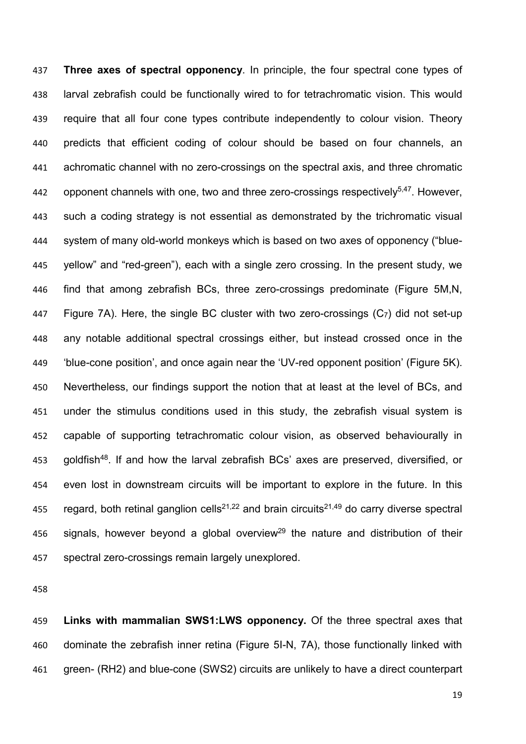**Three axes of spectral opponency**. In principle, the four spectral cone types of larval zebrafish could be functionally wired to for tetrachromatic vision. This would require that all four cone types contribute independently to colour vision. Theory predicts that efficient coding of colour should be based on four channels, an achromatic channel with no zero-crossings on the spectral axis, and three chromatic 442 opponent channels with one, two and three zero-crossings respectively<sup>5,47</sup>. However, such a coding strategy is not essential as demonstrated by the trichromatic visual system of many old-world monkeys which is based on two axes of opponency ("blue- yellow" and "red-green"), each with a single zero crossing. In the present study, we find that among zebrafish BCs, three zero-crossings predominate (Figure 5M,N, Figure 7A). Here, the single BC cluster with two zero-crossings (C7) did not set-up any notable additional spectral crossings either, but instead crossed once in the 'blue-cone position', and once again near the 'UV-red opponent position' (Figure 5K). Nevertheless, our findings support the notion that at least at the level of BCs, and under the stimulus conditions used in this study, the zebrafish visual system is capable of supporting tetrachromatic colour vision, as observed behaviourally in 453 goldfish<sup>48</sup>. If and how the larval zebrafish BCs' axes are preserved, diversified, or even lost in downstream circuits will be important to explore in the future. In this 455 regard, both retinal ganglion cells<sup>21,22</sup> and brain circuits<sup>21,49</sup> do carry diverse spectral 456 signals, however beyond a global overview<sup>29</sup> the nature and distribution of their spectral zero-crossings remain largely unexplored.

 **Links with mammalian SWS1:LWS opponency.** Of the three spectral axes that dominate the zebrafish inner retina (Figure 5I-N, 7A), those functionally linked with green- (RH2) and blue-cone (SWS2) circuits are unlikely to have a direct counterpart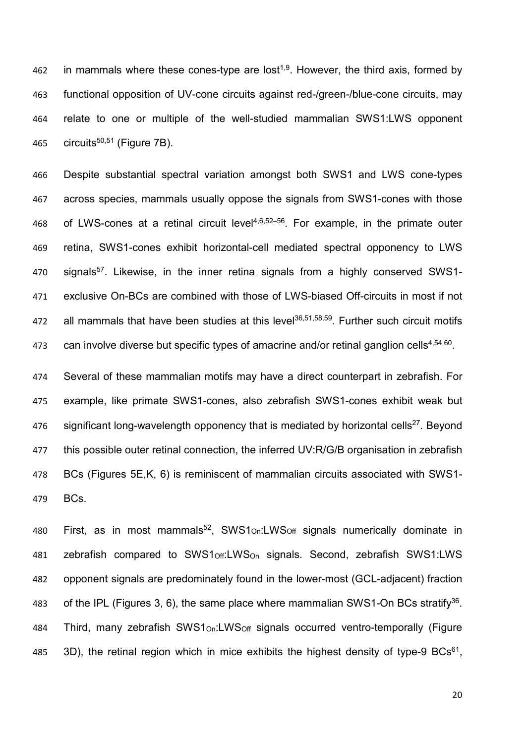462 in mammals where these cones-type are lost<sup>1,9</sup>. However, the third axis, formed by 463 functional opposition of UV-cone circuits against red-/green-/blue-cone circuits, may 464 relate to one or multiple of the well-studied mammalian SWS1:LWS opponent 465 circuits<sup>50,51</sup> (Figure 7B).

 Despite substantial spectral variation amongst both SWS1 and LWS cone-types across species, mammals usually oppose the signals from SWS1-cones with those 468 of LWS-cones at a retinal circuit level $4,6,52-56$ . For example, in the primate outer retina, SWS1-cones exhibit horizontal-cell mediated spectral opponency to LWS 470 signals<sup>57</sup>. Likewise, in the inner retina signals from a highly conserved SWS1- exclusive On-BCs are combined with those of LWS-biased Off-circuits in most if not 472 all mammals that have been studies at this level $36,51,58,59$ . Further such circuit motifs  $\degree$  can involve diverse but specific types of amacrine and/or retinal ganglion cells<sup>4,54,60</sup>.

474 Several of these mammalian motifs may have a direct counterpart in zebrafish. For 475 example, like primate SWS1-cones, also zebrafish SWS1-cones exhibit weak but 476 significant long-wavelength opponency that is mediated by horizontal cells<sup>27</sup>. Beyond 477 this possible outer retinal connection, the inferred UV:R/G/B organisation in zebrafish 478 BCs (Figures 5E,K, 6) is reminiscent of mammalian circuits associated with SWS1- 479 BCs.

480 First, as in most mammals<sup>52</sup>, SWS1<sub>On</sub>:LWS<sub>Off</sub> signals numerically dominate in 481 zebrafish compared to SWS1Off:LWSOn signals. Second, zebrafish SWS1:LWS 482 opponent signals are predominately found in the lower-most (GCL-adjacent) fraction 483 of the IPL (Figures 3, 6), the same place where mammalian SWS1-On BCs stratify<sup>36</sup>. 484 Third, many zebrafish SWS1<sub>On</sub>:LWS<sub>Off</sub> signals occurred ventro-temporally (Figure 485 3D), the retinal region which in mice exhibits the highest density of type-9 BCs<sup>61</sup>.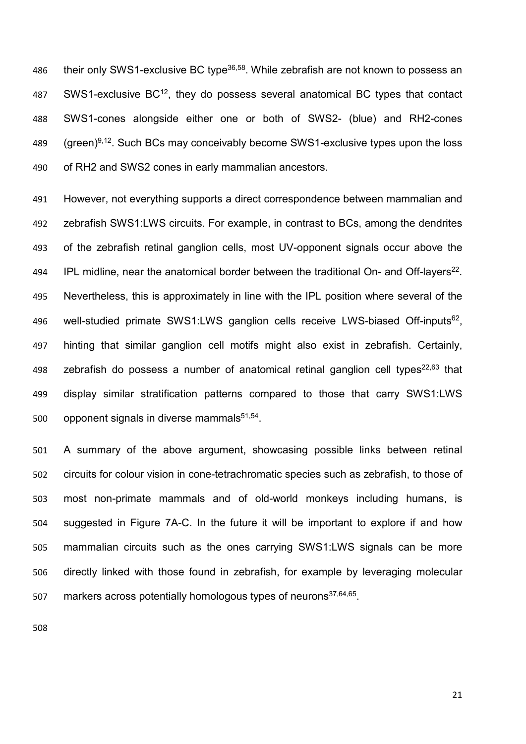486 their only SWS1-exclusive BC type<sup>36,58</sup>. While zebrafish are not known to possess an 487 SWS1-exclusive  $BC^{12}$ , they do possess several anatomical BC types that contact SWS1-cones alongside either one or both of SWS2- (blue) and RH2-cones 489  $(green)^{9,12}$ . Such BCs may conceivably become SWS1-exclusive types upon the loss of RH2 and SWS2 cones in early mammalian ancestors.

 However, not everything supports a direct correspondence between mammalian and zebrafish SWS1:LWS circuits. For example, in contrast to BCs, among the dendrites of the zebrafish retinal ganglion cells, most UV-opponent signals occur above the 194 IPL midline, near the anatomical border between the traditional On- and Off-layers<sup>22</sup>. Nevertheless, this is approximately in line with the IPL position where several of the 496 well-studied primate SWS1:LWS ganglion cells receive LWS-biased Off-inputs<sup>62</sup>, hinting that similar ganglion cell motifs might also exist in zebrafish. Certainly, 498 zebrafish do possess a number of anatomical retinal ganglion cell types<sup>22,63</sup> that display similar stratification patterns compared to those that carry SWS1:LWS 500 opponent signals in diverse mammals $51,54$ .

 A summary of the above argument, showcasing possible links between retinal circuits for colour vision in cone-tetrachromatic species such as zebrafish, to those of most non-primate mammals and of old-world monkeys including humans, is suggested in Figure 7A-C. In the future it will be important to explore if and how mammalian circuits such as the ones carrying SWS1:LWS signals can be more directly linked with those found in zebrafish, for example by leveraging molecular 507 markers across potentially homologous types of neurons $37,64,65$ .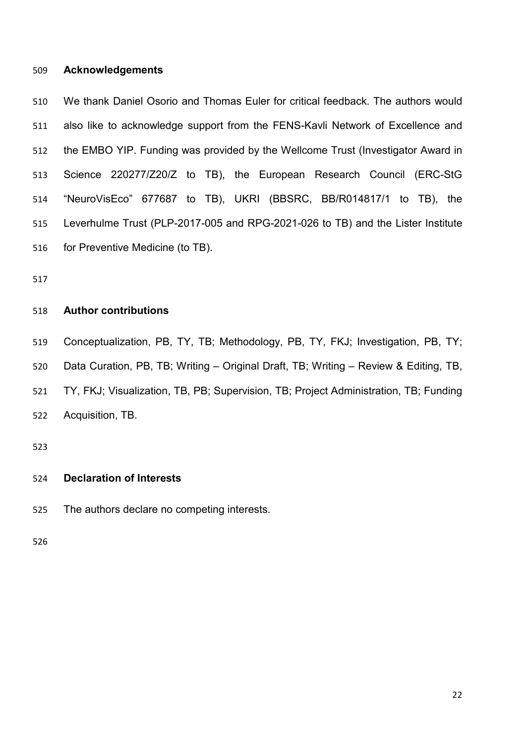#### **Acknowledgements**

 We thank Daniel Osorio and Thomas Euler for critical feedback. The authors would also like to acknowledge support from the FENS-Kavli Network of Excellence and the EMBO YIP. Funding was provided by the Wellcome Trust (Investigator Award in Science 220277/Z20/Z to TB), the European Research Council (ERC-StG "NeuroVisEco" 677687 to TB), UKRI (BBSRC, BB/R014817/1 to TB), the Leverhulme Trust (PLP-2017-005 and RPG-2021-026 to TB) and the Lister Institute for Preventive Medicine (to TB).

#### **Author contributions**

 Conceptualization, PB, TY, TB; Methodology, PB, TY, FKJ; Investigation, PB, TY; Data Curation, PB, TB; Writing – Original Draft, TB; Writing – Review & Editing, TB, TY, FKJ; Visualization, TB, PB; Supervision, TB; Project Administration, TB; Funding Acquisition, TB.

#### **Declaration of Interests**

The authors declare no competing interests.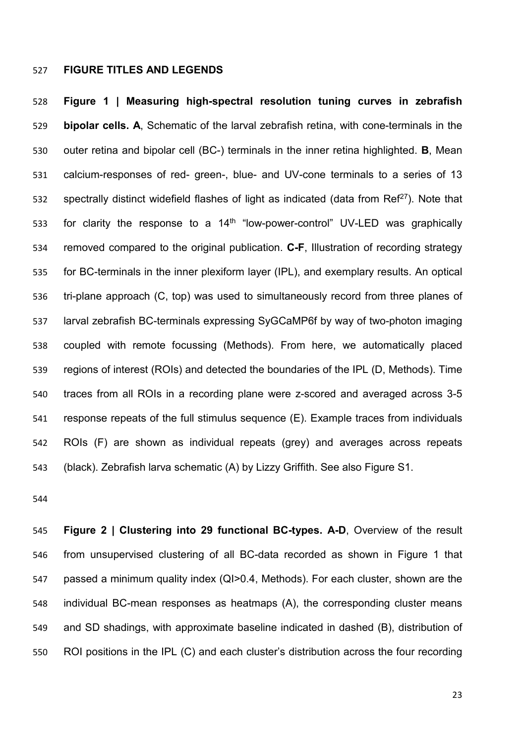#### **FIGURE TITLES AND LEGENDS**

 **Figure 1 | Measuring high-spectral resolution tuning curves in zebrafish bipolar cells. A**, Schematic of the larval zebrafish retina, with cone-terminals in the outer retina and bipolar cell (BC-) terminals in the inner retina highlighted. **B**, Mean calcium-responses of red- green-, blue- and UV-cone terminals to a series of 13 ss2 spectrally distinct widefield flashes of light as indicated (data from  $\text{Re}f^{27}$ ). Note that 533 for clarity the response to a  $14<sup>th</sup>$  "low-power-control" UV-LED was graphically removed compared to the original publication. **C-F**, Illustration of recording strategy for BC-terminals in the inner plexiform layer (IPL), and exemplary results. An optical tri-plane approach (C, top) was used to simultaneously record from three planes of larval zebrafish BC-terminals expressing SyGCaMP6f by way of two-photon imaging coupled with remote focussing (Methods). From here, we automatically placed regions of interest (ROIs) and detected the boundaries of the IPL (D, Methods). Time traces from all ROIs in a recording plane were z-scored and averaged across 3-5 response repeats of the full stimulus sequence (E). Example traces from individuals ROIs (F) are shown as individual repeats (grey) and averages across repeats (black). Zebrafish larva schematic (A) by Lizzy Griffith. See also Figure S1.

 **Figure 2 | Clustering into 29 functional BC-types. A-D**, Overview of the result from unsupervised clustering of all BC-data recorded as shown in Figure 1 that passed a minimum quality index (QI>0.4, Methods). For each cluster, shown are the individual BC-mean responses as heatmaps (A), the corresponding cluster means and SD shadings, with approximate baseline indicated in dashed (B), distribution of ROI positions in the IPL (C) and each cluster's distribution across the four recording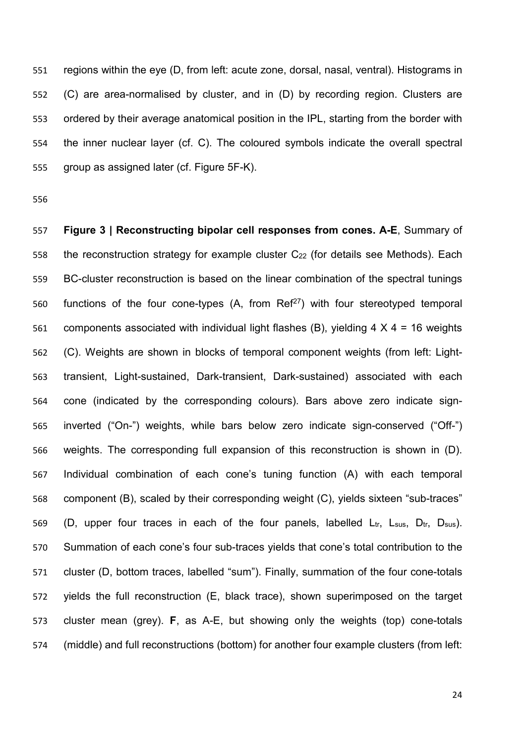regions within the eye (D, from left: acute zone, dorsal, nasal, ventral). Histograms in (C) are area-normalised by cluster, and in (D) by recording region. Clusters are ordered by their average anatomical position in the IPL, starting from the border with the inner nuclear layer (cf. C). The coloured symbols indicate the overall spectral group as assigned later (cf. Figure 5F-K).

 **Figure 3 | Reconstructing bipolar cell responses from cones. A-E**, Summary of 558 the reconstruction strategy for example cluster C<sub>22</sub> (for details see Methods). Each BC-cluster reconstruction is based on the linear combination of the spectral tunings 560 functions of the four cone-types  $(A, from Ref<sup>27</sup>)$  with four stereotyped temporal 561 components associated with individual light flashes (B), yielding  $4 \times 4 = 16$  weights (C). Weights are shown in blocks of temporal component weights (from left: Light- transient, Light-sustained, Dark-transient, Dark-sustained) associated with each cone (indicated by the corresponding colours). Bars above zero indicate sign- inverted ("On-") weights, while bars below zero indicate sign-conserved ("Off-") weights. The corresponding full expansion of this reconstruction is shown in (D). Individual combination of each cone's tuning function (A) with each temporal component (B), scaled by their corresponding weight (C), yields sixteen "sub-traces" 569 (D, upper four traces in each of the four panels, labelled  $L_{tr}$ ,  $L_{sus}$ ,  $D_{tr}$ ,  $D_{sus}$ ). Summation of each cone's four sub-traces yields that cone's total contribution to the cluster (D, bottom traces, labelled "sum"). Finally, summation of the four cone-totals yields the full reconstruction (E, black trace), shown superimposed on the target cluster mean (grey). **F**, as A-E, but showing only the weights (top) cone-totals (middle) and full reconstructions (bottom) for another four example clusters (from left: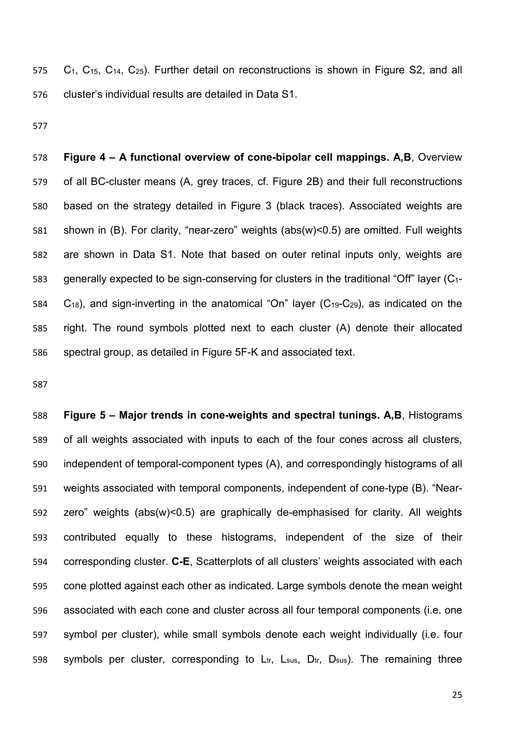C1, C15, C14, C25). Further detail on reconstructions is shown in Figure S2, and all cluster's individual results are detailed in Data S1.

 **Figure 4 – A functional overview of cone-bipolar cell mappings. A,B**, Overview of all BC-cluster means (A, grey traces, cf. Figure 2B) and their full reconstructions based on the strategy detailed in Figure 3 (black traces). Associated weights are shown in (B). For clarity, "near-zero" weights (abs(w)<0.5) are omitted. Full weights are shown in Data S1. Note that based on outer retinal inputs only, weights are 583 generally expected to be sign-conserving for clusters in the traditional "Off" layer  $(C_{1}$ - C18), and sign-inverting in the anatomical "On" layer (C19-C29), as indicated on the right. The round symbols plotted next to each cluster (A) denote their allocated spectral group, as detailed in Figure 5F-K and associated text.

 **Figure 5 – Major trends in cone-weights and spectral tunings. A,B**, Histograms of all weights associated with inputs to each of the four cones across all clusters, independent of temporal-component types (A), and correspondingly histograms of all weights associated with temporal components, independent of cone-type (B). "Near- zero" weights (abs(w)<0.5) are graphically de-emphasised for clarity. All weights contributed equally to these histograms, independent of the size of their corresponding cluster. **C-E**, Scatterplots of all clusters' weights associated with each cone plotted against each other as indicated. Large symbols denote the mean weight associated with each cone and cluster across all four temporal components (i.e. one symbol per cluster), while small symbols denote each weight individually (i.e. four 598 symbols per cluster, corresponding to  $L_{tr}$ ,  $L_{sus}$ ,  $D_{tr}$ ,  $D_{sus}$ ). The remaining three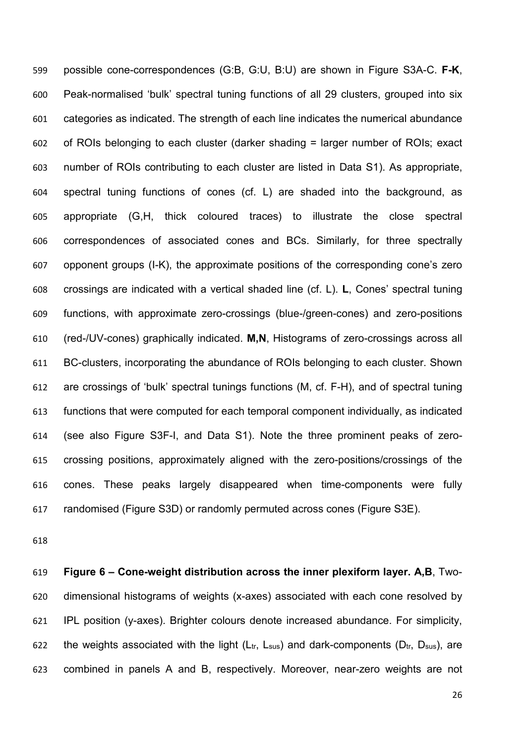possible cone-correspondences (G:B, G:U, B:U) are shown in Figure S3A-C. **F-K**, Peak-normalised 'bulk' spectral tuning functions of all 29 clusters, grouped into six categories as indicated. The strength of each line indicates the numerical abundance of ROIs belonging to each cluster (darker shading = larger number of ROIs; exact number of ROIs contributing to each cluster are listed in Data S1). As appropriate, spectral tuning functions of cones (cf. L) are shaded into the background, as appropriate (G,H, thick coloured traces) to illustrate the close spectral correspondences of associated cones and BCs. Similarly, for three spectrally opponent groups (I-K), the approximate positions of the corresponding cone's zero crossings are indicated with a vertical shaded line (cf. L). **L**, Cones' spectral tuning functions, with approximate zero-crossings (blue-/green-cones) and zero-positions (red-/UV-cones) graphically indicated. **M,N**, Histograms of zero-crossings across all BC-clusters, incorporating the abundance of ROIs belonging to each cluster. Shown are crossings of 'bulk' spectral tunings functions (M, cf. F-H), and of spectral tuning functions that were computed for each temporal component individually, as indicated (see also Figure S3F-I, and Data S1). Note the three prominent peaks of zero- crossing positions, approximately aligned with the zero-positions/crossings of the cones. These peaks largely disappeared when time-components were fully randomised (Figure S3D) or randomly permuted across cones (Figure S3E).

 **Figure 6 – Cone-weight distribution across the inner plexiform layer. A,B**, Two- dimensional histograms of weights (x-axes) associated with each cone resolved by IPL position (y-axes). Brighter colours denote increased abundance. For simplicity, 622 the weights associated with the light ( $L_{tr}$ ,  $L_{sus}$ ) and dark-components ( $D_{tr}$ ,  $D_{sus}$ ), are combined in panels A and B, respectively. Moreover, near-zero weights are not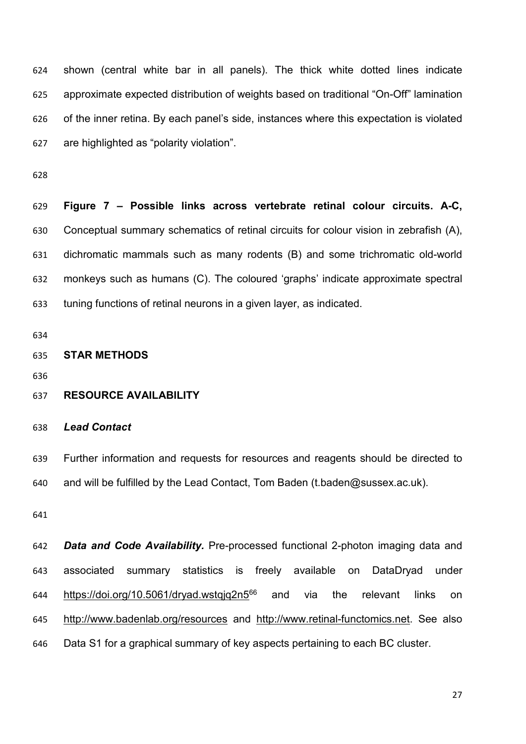shown (central white bar in all panels). The thick white dotted lines indicate approximate expected distribution of weights based on traditional "On-Off" lamination of the inner retina. By each panel's side, instances where this expectation is violated are highlighted as "polarity violation".

 **Figure 7 – Possible links across vertebrate retinal colour circuits. A-C,**  Conceptual summary schematics of retinal circuits for colour vision in zebrafish (A), dichromatic mammals such as many rodents (B) and some trichromatic old-world monkeys such as humans (C). The coloured 'graphs' indicate approximate spectral tuning functions of retinal neurons in a given layer, as indicated.

**STAR METHODS**

## **RESOURCE AVAILABILITY**

#### *Lead Contact*

 Further information and requests for resources and reagents should be directed to 640 and will be fulfilled by the Lead Contact, Tom Baden (t.baden@sussex.ac.uk).

 *Data and Code Availability.* Pre-processed functional 2-photon imaging data and associated summary statistics is freely available on DataDryad under 644 https://doi.org/10.5061/dryad.wstgjq2n5 and via the relevant links on <http://www.badenlab.org/resources> and [http://www.retinal-functomics.net.](http://www.retinal-functomics.net/) See also Data S1 for a graphical summary of key aspects pertaining to each BC cluster.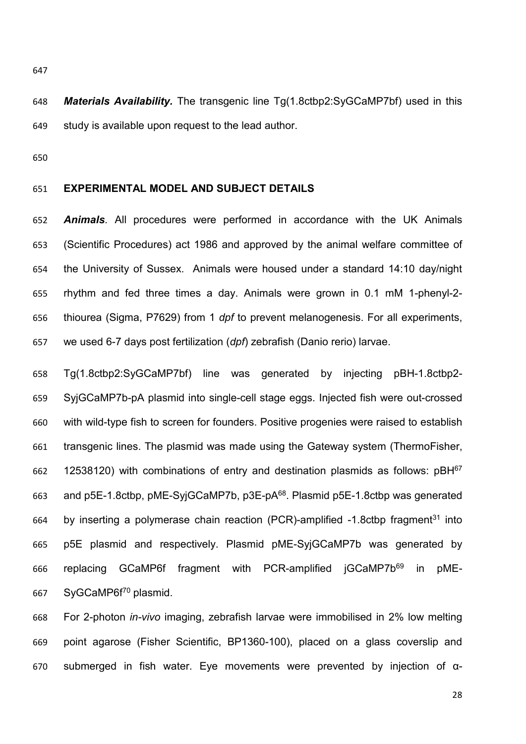*Materials Availability.* The transgenic line Tg(1.8ctbp2:SyGCaMP7bf) used in this study is available upon request to the lead author.

#### **EXPERIMENTAL MODEL AND SUBJECT DETAILS**

 *Animals.* All procedures were performed in accordance with the UK Animals (Scientific Procedures) act 1986 and approved by the animal welfare committee of the University of Sussex. Animals were housed under a standard 14:10 day/night rhythm and fed three times a day. Animals were grown in 0.1 mM 1-phenyl-2- thiourea (Sigma, P7629) from 1 *dpf* to prevent melanogenesis. For all experiments, we used 6-7 days post fertilization (*dpf*) zebrafish (Danio rerio) larvae.

 Tg(1.8ctbp2:SyGCaMP7bf) line was generated by injecting pBH-1.8ctbp2- SyjGCaMP7b-pA plasmid into single-cell stage eggs. Injected fish were out-crossed with wild-type fish to screen for founders. Positive progenies were raised to establish transgenic lines. The plasmid was made using the Gateway system (ThermoFisher, 662 12538120) with combinations of entry and destination plasmids as follows:  $pBH<sup>67</sup>$ 663 and p5E-1.8ctbp, pME-SyjGCaMP7b, p3E-p $A^{68}$ . Plasmid p5E-1.8ctbp was generated 664 by inserting a polymerase chain reaction (PCR)-amplified  $-1.8$ ctbp fragment<sup>31</sup> into p5E plasmid and respectively. Plasmid pME-SyjGCaMP7b was generated by 666 replacing GCaMP6f fragment with PCR-amplified jGCaMP7b<sup>69</sup> in pME-667 SyGCaMP6f<sup>70</sup> plasmid.

 For 2-photon *in-vivo* imaging, zebrafish larvae were immobilised in 2% low melting point agarose (Fisher Scientific, BP1360-100), placed on a glass coverslip and submerged in fish water. Eye movements were prevented by injection of α-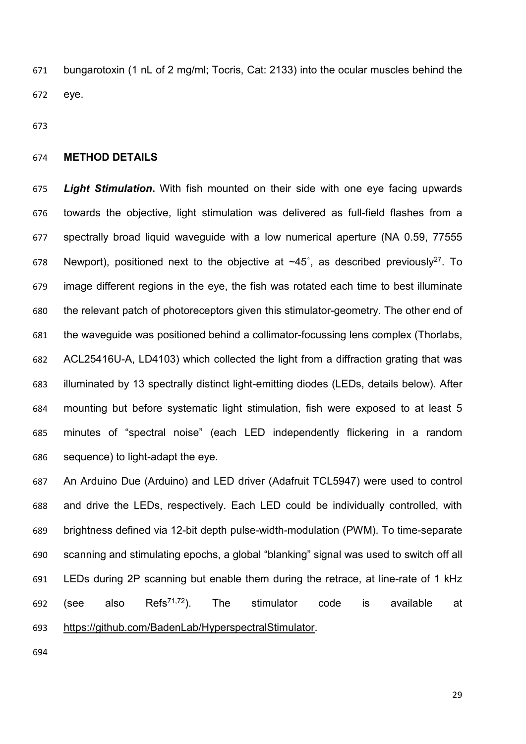bungarotoxin (1 nL of 2 mg/ml; Tocris, Cat: 2133) into the ocular muscles behind the eye.

#### **METHOD DETAILS**

 *Light Stimulation***.** With fish mounted on their side with one eye facing upwards towards the objective, light stimulation was delivered as full-field flashes from a spectrally broad liquid waveguide with a low numerical aperture (NA 0.59, 77555 678 Newport), positioned next to the objective at  $\sim$ 45°, as described previously<sup>27</sup>. To image different regions in the eye, the fish was rotated each time to best illuminate the relevant patch of photoreceptors given this stimulator-geometry. The other end of the waveguide was positioned behind a collimator-focussing lens complex (Thorlabs, ACL25416U-A, LD4103) which collected the light from a diffraction grating that was illuminated by 13 spectrally distinct light-emitting diodes (LEDs, details below). After mounting but before systematic light stimulation, fish were exposed to at least 5 minutes of "spectral noise" (each LED independently flickering in a random sequence) to light-adapt the eye.

 An Arduino Due (Arduino) and LED driver (Adafruit TCL5947) were used to control and drive the LEDs, respectively. Each LED could be individually controlled, with brightness defined via 12-bit depth pulse-width-modulation (PWM). To time-separate scanning and stimulating epochs, a global "blanking" signal was used to switch off all LEDs during 2P scanning but enable them during the retrace, at line-rate of 1 kHz 692 (see also Refs<sup>71,72</sup>). The stimulator code is available at [https://github.com/BadenLab/HyperspectralStimulator.](https://github.com/BadenLab/HyperspectralStimulator)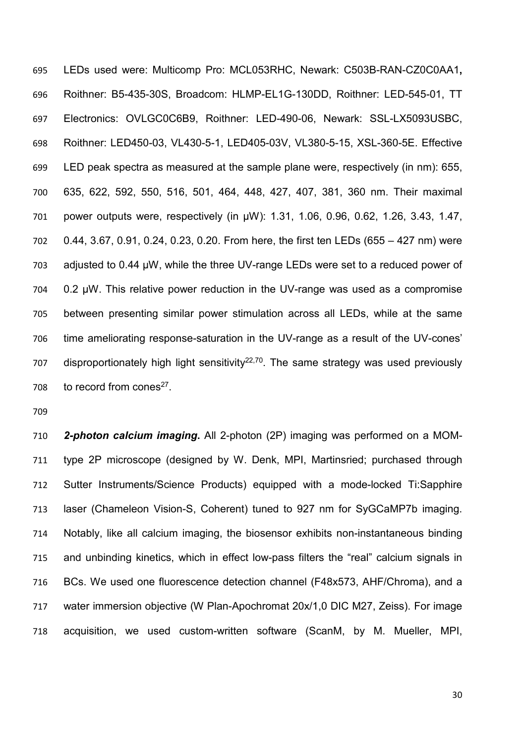LEDs used were: Multicomp Pro: MCL053RHC, Newark: C503B-RAN-CZ0C0AA1**,**  Roithner: B5-435-30S, Broadcom: HLMP-EL1G-130DD, Roithner: LED-545-01, TT Electronics: OVLGC0C6B9, Roithner: LED-490-06, Newark: SSL-LX5093USBC, Roithner: LED450-03, VL430-5-1, LED405-03V, VL380-5-15, XSL-360-5E. Effective LED peak spectra as measured at the sample plane were, respectively (in nm): 655, 635, 622, 592, 550, 516, 501, 464, 448, 427, 407, 381, 360 nm. Their maximal power outputs were, respectively (in µW): 1.31, 1.06, 0.96, 0.62, 1.26, 3.43, 1.47, 0.44, 3.67, 0.91, 0.24, 0.23, 0.20. From here, the first ten LEDs (655 – 427 nm) were adjusted to 0.44 µW, while the three UV-range LEDs were set to a reduced power of 0.2 µW. This relative power reduction in the UV-range was used as a compromise between presenting similar power stimulation across all LEDs, while at the same time ameliorating response-saturation in the UV-range as a result of the UV-cones' 707 disproportionately high light sensitivity<sup>22,70</sup>. The same strategy was used previously 708 to record from cones<sup>27</sup>.

 *2-photon calcium imaging***.** All 2-photon (2P) imaging was performed on a MOM- type 2P microscope (designed by W. Denk, MPI, Martinsried; purchased through Sutter Instruments/Science Products) equipped with a mode-locked Ti:Sapphire laser (Chameleon Vision-S, Coherent) tuned to 927 nm for SyGCaMP7b imaging. Notably, like all calcium imaging, the biosensor exhibits non-instantaneous binding and unbinding kinetics, which in effect low-pass filters the "real" calcium signals in BCs. We used one fluorescence detection channel (F48x573, AHF/Chroma), and a water immersion objective (W Plan-Apochromat 20x/1,0 DIC M27, Zeiss). For image acquisition, we used custom-written software (ScanM, by M. Mueller, MPI,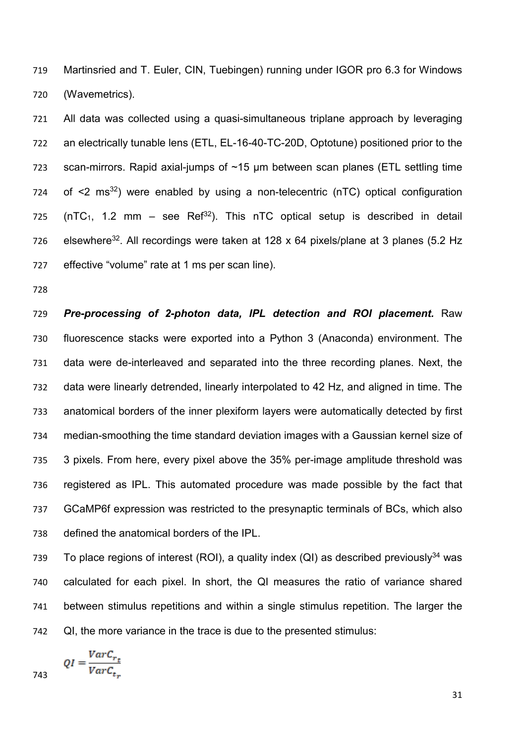Martinsried and T. Euler, CIN, Tuebingen) running under IGOR pro 6.3 for Windows (Wavemetrics).

 All data was collected using a quasi-simultaneous triplane approach by leveraging an electrically tunable lens (ETL, EL-16-40-TC-20D, Optotune) positioned prior to the scan-mirrors. Rapid axial-jumps of ~15 µm between scan planes (ETL settling time of  $\leq$  ms<sup>32</sup>) were enabled by using a non-telecentric (nTC) optical configuration 725 (nTC<sub>1</sub>, 1.2 mm – see Ref<sup>32</sup>). This nTC optical setup is described in detail 726 elsewhere<sup>32</sup>. All recordings were taken at 128 x 64 pixels/plane at 3 planes (5.2 Hz effective "volume" rate at 1 ms per scan line).

 *Pre-processing of 2-photon data, IPL detection and ROI placement.* Raw fluorescence stacks were exported into a Python 3 (Anaconda) environment. The data were de-interleaved and separated into the three recording planes. Next, the data were linearly detrended, linearly interpolated to 42 Hz, and aligned in time. The anatomical borders of the inner plexiform layers were automatically detected by first median-smoothing the time standard deviation images with a Gaussian kernel size of 3 pixels. From here, every pixel above the 35% per-image amplitude threshold was registered as IPL. This automated procedure was made possible by the fact that GCaMP6f expression was restricted to the presynaptic terminals of BCs, which also defined the anatomical borders of the IPL.

To place regions of interest (ROI), a quality index (QI) as described previously<sup>34</sup> was calculated for each pixel. In short, the QI measures the ratio of variance shared between stimulus repetitions and within a single stimulus repetition. The larger the QI, the more variance in the trace is due to the presented stimulus:

$$
QI = \frac{VarC_{r_t}}{VarC_{t_r}}
$$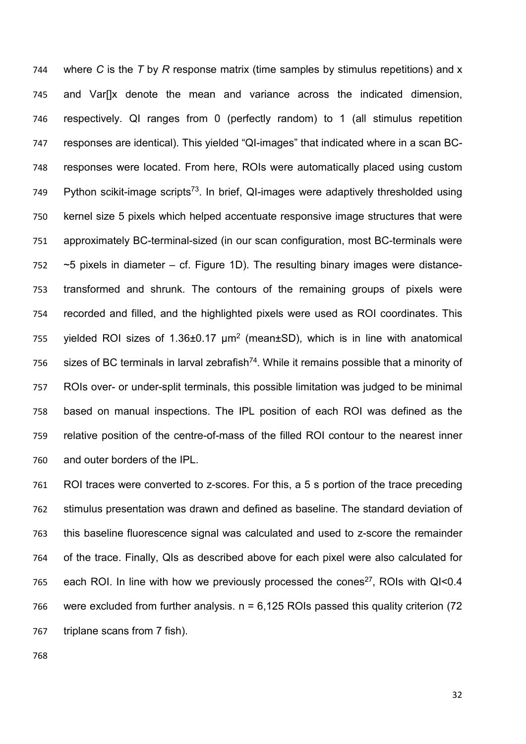where *C* is the *T* by *R* response matrix (time samples by stimulus repetitions) and x and Var[]x denote the mean and variance across the indicated dimension, respectively. QI ranges from 0 (perfectly random) to 1 (all stimulus repetition responses are identical). This yielded "QI-images" that indicated where in a scan BC- responses were located. From here, ROIs were automatically placed using custom 749 Python scikit-image scripts<sup>73</sup>. In brief, QI-images were adaptively thresholded using kernel size 5 pixels which helped accentuate responsive image structures that were approximately BC-terminal-sized (in our scan configuration, most BC-terminals were  $\sim$  5 pixels in diameter – cf. Figure 1D). The resulting binary images were distance- transformed and shrunk. The contours of the remaining groups of pixels were recorded and filled, and the highlighted pixels were used as ROI coordinates. This yielded ROI sizes of 1.36 $\pm$ 0.17  $\mu$ m<sup>2</sup> (mean $\pm$ SD), which is in line with anatomical 756 sizes of BC terminals in larval zebrafish<sup>74</sup>. While it remains possible that a minority of ROIs over- or under-split terminals, this possible limitation was judged to be minimal based on manual inspections. The IPL position of each ROI was defined as the relative position of the centre-of-mass of the filled ROI contour to the nearest inner and outer borders of the IPL.

 ROI traces were converted to z-scores. For this, a 5 s portion of the trace preceding stimulus presentation was drawn and defined as baseline. The standard deviation of this baseline fluorescence signal was calculated and used to z-score the remainder of the trace. Finally, QIs as described above for each pixel were also calculated for 765 each ROI. In line with how we previously processed the cones<sup>27</sup>, ROIs with QI<0.4 766 were excluded from further analysis.  $n = 6,125$  ROIs passed this quality criterion (72) triplane scans from 7 fish).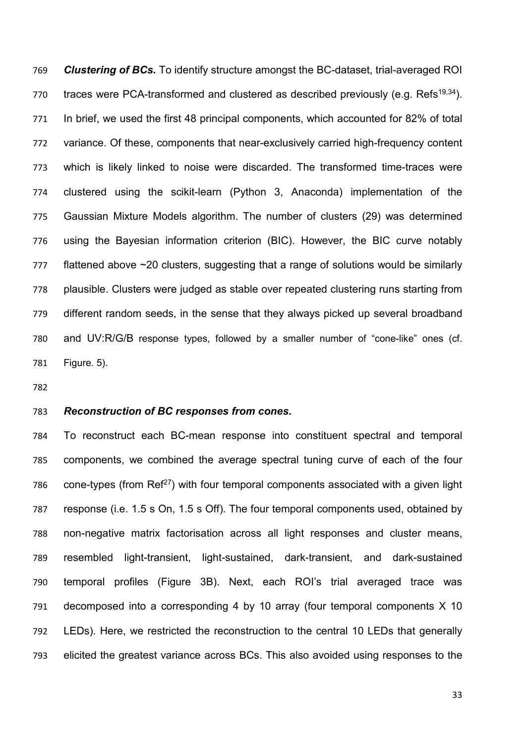*Clustering of BCs.* To identify structure amongst the BC-dataset, trial-averaged ROI 770 traces were PCA-transformed and clustered as described previously (e.g. Refs<sup>19,34</sup>). In brief, we used the first 48 principal components, which accounted for 82% of total variance. Of these, components that near-exclusively carried high-frequency content which is likely linked to noise were discarded. The transformed time-traces were clustered using the scikit-learn (Python 3, Anaconda) implementation of the Gaussian Mixture Models algorithm. The number of clusters (29) was determined using the Bayesian information criterion (BIC). However, the BIC curve notably flattened above ~20 clusters, suggesting that a range of solutions would be similarly plausible. Clusters were judged as stable over repeated clustering runs starting from different random seeds, in the sense that they always picked up several broadband and UV:R/G/B response types, followed by a smaller number of "cone-like" ones (cf. Figure. 5).

#### *Reconstruction of BC responses from cones.*

 To reconstruct each BC-mean response into constituent spectral and temporal components, we combined the average spectral tuning curve of each of the four 786 cone-types (from  $\text{Ref}^{27}$ ) with four temporal components associated with a given light response (i.e. 1.5 s On, 1.5 s Off). The four temporal components used, obtained by non-negative matrix factorisation across all light responses and cluster means, resembled light-transient, light-sustained, dark-transient, and dark-sustained temporal profiles (Figure 3B). Next, each ROI's trial averaged trace was decomposed into a corresponding 4 by 10 array (four temporal components X 10 LEDs). Here, we restricted the reconstruction to the central 10 LEDs that generally elicited the greatest variance across BCs. This also avoided using responses to the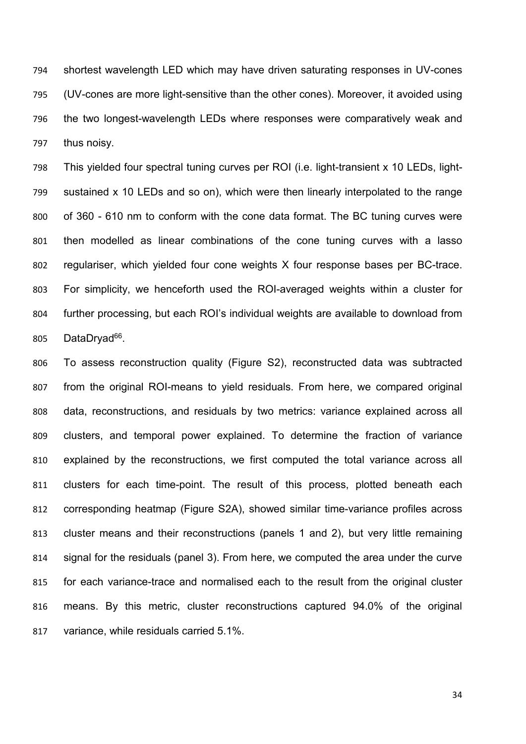shortest wavelength LED which may have driven saturating responses in UV-cones (UV-cones are more light-sensitive than the other cones). Moreover, it avoided using the two longest-wavelength LEDs where responses were comparatively weak and thus noisy.

 This yielded four spectral tuning curves per ROI (i.e. light-transient x 10 LEDs, light- sustained x 10 LEDs and so on), which were then linearly interpolated to the range of 360 - 610 nm to conform with the cone data format. The BC tuning curves were then modelled as linear combinations of the cone tuning curves with a lasso regulariser, which yielded four cone weights X four response bases per BC-trace. For simplicity, we henceforth used the ROI-averaged weights within a cluster for further processing, but each ROI's individual weights are available to download from 805 DataDryad<sup>66</sup>.

 To assess reconstruction quality (Figure S2), reconstructed data was subtracted from the original ROI-means to yield residuals. From here, we compared original data, reconstructions, and residuals by two metrics: variance explained across all clusters, and temporal power explained. To determine the fraction of variance explained by the reconstructions, we first computed the total variance across all clusters for each time-point. The result of this process, plotted beneath each corresponding heatmap (Figure S2A), showed similar time-variance profiles across cluster means and their reconstructions (panels 1 and 2), but very little remaining signal for the residuals (panel 3). From here, we computed the area under the curve for each variance-trace and normalised each to the result from the original cluster means. By this metric, cluster reconstructions captured 94.0% of the original variance, while residuals carried 5.1%.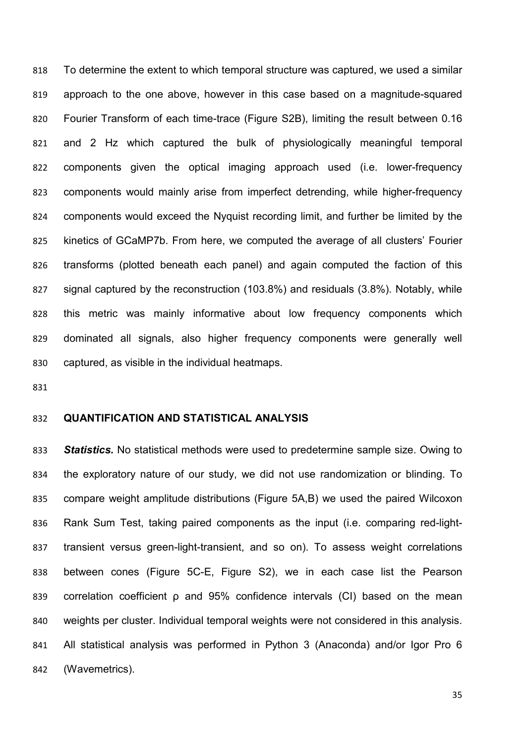To determine the extent to which temporal structure was captured, we used a similar approach to the one above, however in this case based on a magnitude-squared Fourier Transform of each time-trace (Figure S2B), limiting the result between 0.16 and 2 Hz which captured the bulk of physiologically meaningful temporal components given the optical imaging approach used (i.e. lower-frequency components would mainly arise from imperfect detrending, while higher-frequency components would exceed the Nyquist recording limit, and further be limited by the kinetics of GCaMP7b. From here, we computed the average of all clusters' Fourier transforms (plotted beneath each panel) and again computed the faction of this signal captured by the reconstruction (103.8%) and residuals (3.8%). Notably, while this metric was mainly informative about low frequency components which dominated all signals, also higher frequency components were generally well captured, as visible in the individual heatmaps.

#### **QUANTIFICATION AND STATISTICAL ANALYSIS**

 *Statistics.* No statistical methods were used to predetermine sample size. Owing to the exploratory nature of our study, we did not use randomization or blinding. To compare weight amplitude distributions (Figure 5A,B) we used the paired Wilcoxon Rank Sum Test, taking paired components as the input (i.e. comparing red-light- transient versus green-light-transient, and so on). To assess weight correlations between cones (Figure 5C-E, Figure S2), we in each case list the Pearson correlation coefficient ρ and 95% confidence intervals (CI) based on the mean weights per cluster. Individual temporal weights were not considered in this analysis. All statistical analysis was performed in Python 3 (Anaconda) and/or Igor Pro 6 (Wavemetrics).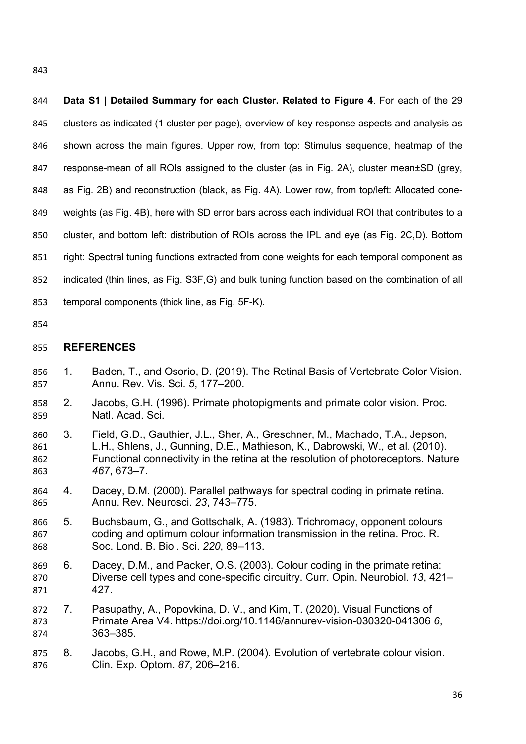**Data S1 | Detailed Summary for each Cluster. Related to Figure 4**. For each of the 29 clusters as indicated (1 cluster per page), overview of key response aspects and analysis as shown across the main figures. Upper row, from top: Stimulus sequence, heatmap of the 847 response-mean of all ROIs assigned to the cluster (as in Fig. 2A), cluster mean±SD (grey, as Fig. 2B) and reconstruction (black, as Fig. 4A). Lower row, from top/left: Allocated cone- weights (as Fig. 4B), here with SD error bars across each individual ROI that contributes to a cluster, and bottom left: distribution of ROIs across the IPL and eye (as Fig. 2C,D). Bottom right: Spectral tuning functions extracted from cone weights for each temporal component as indicated (thin lines, as Fig. S3F,G) and bulk tuning function based on the combination of all temporal components (thick line, as Fig. 5F-K).

#### **REFERENCES**

- 1. Baden, T., and Osorio, D. (2019). The Retinal Basis of Vertebrate Color Vision. Annu. Rev. Vis. Sci. *5*, 177–200.
- 2. Jacobs, G.H. (1996). Primate photopigments and primate color vision. Proc. Natl. Acad. Sci.
- 3. Field, G.D., Gauthier, J.L., Sher, A., Greschner, M., Machado, T.A., Jepson, L.H., Shlens, J., Gunning, D.E., Mathieson, K., Dabrowski, W., et al. (2010). Functional connectivity in the retina at the resolution of photoreceptors. Nature *467*, 673–7.
- 4. Dacey, D.M. (2000). Parallel pathways for spectral coding in primate retina. Annu. Rev. Neurosci. *23*, 743–775.
- 5. Buchsbaum, G., and Gottschalk, A. (1983). Trichromacy, opponent colours coding and optimum colour information transmission in the retina. Proc. R. Soc. Lond. B. Biol. Sci. *220*, 89–113.
- 6. Dacey, D.M., and Packer, O.S. (2003). Colour coding in the primate retina: Diverse cell types and cone-specific circuitry. Curr. Opin. Neurobiol. *13*, 421– 427.
- 7. Pasupathy, A., Popovkina, D. V., and Kim, T. (2020). Visual Functions of Primate Area V4. https://doi.org/10.1146/annurev-vision-030320-041306 *6*, 363–385.
- 8. Jacobs, G.H., and Rowe, M.P. (2004). Evolution of vertebrate colour vision. Clin. Exp. Optom. *87*, 206–216.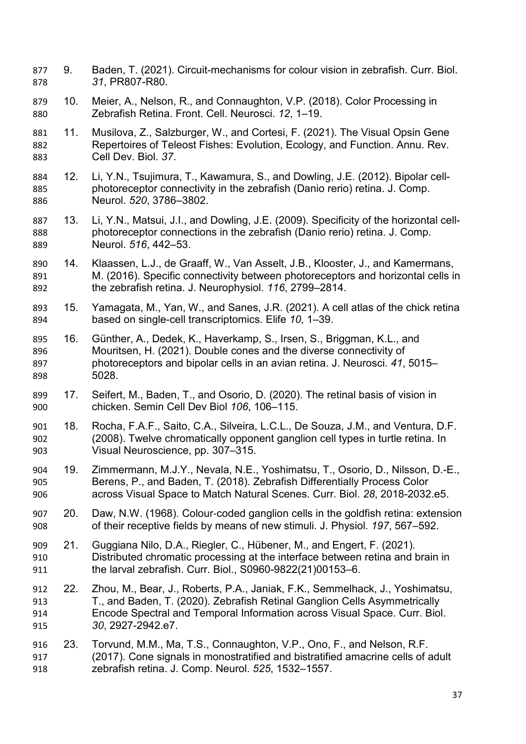- 9. Baden, T. (2021). Circuit-mechanisms for colour vision in zebrafish. Curr. Biol. *31*, PR807-R80.
- 10. Meier, A., Nelson, R., and Connaughton, V.P. (2018). Color Processing in Zebrafish Retina. Front. Cell. Neurosci. *12*, 1–19.
- 11. Musilova, Z., Salzburger, W., and Cortesi, F. (2021). The Visual Opsin Gene Repertoires of Teleost Fishes: Evolution, Ecology, and Function. Annu. Rev. Cell Dev. Biol. *37*.
- 12. Li, Y.N., Tsujimura, T., Kawamura, S., and Dowling, J.E. (2012). Bipolar cell- photoreceptor connectivity in the zebrafish (Danio rerio) retina. J. Comp. Neurol. *520*, 3786–3802.
- 13. Li, Y.N., Matsui, J.I., and Dowling, J.E. (2009). Specificity of the horizontal cell- photoreceptor connections in the zebrafish (Danio rerio) retina. J. Comp. Neurol. *516*, 442–53.
- 14. Klaassen, L.J., de Graaff, W., Van Asselt, J.B., Klooster, J., and Kamermans, M. (2016). Specific connectivity between photoreceptors and horizontal cells in the zebrafish retina. J. Neurophysiol. *116*, 2799–2814.
- 15. Yamagata, M., Yan, W., and Sanes, J.R. (2021). A cell atlas of the chick retina based on single-cell transcriptomics. Elife *10*, 1–39.
- 16. Günther, A., Dedek, K., Haverkamp, S., Irsen, S., Briggman, K.L., and Mouritsen, H. (2021). Double cones and the diverse connectivity of photoreceptors and bipolar cells in an avian retina. J. Neurosci. *41*, 5015– 5028.
- 17. Seifert, M., Baden, T., and Osorio, D. (2020). The retinal basis of vision in chicken. Semin Cell Dev Biol *106*, 106–115.
- 18. Rocha, F.A.F., Saito, C.A., Silveira, L.C.L., De Souza, J.M., and Ventura, D.F. (2008). Twelve chromatically opponent ganglion cell types in turtle retina. In Visual Neuroscience, pp. 307–315.
- 19. Zimmermann, M.J.Y., Nevala, N.E., Yoshimatsu, T., Osorio, D., Nilsson, D.-E., Berens, P., and Baden, T. (2018). Zebrafish Differentially Process Color across Visual Space to Match Natural Scenes. Curr. Biol. *28*, 2018-2032.e5.
- 907 20. Daw, N.W. (1968). Colour-coded ganglion cells in the goldfish retina: extension<br>908 of their receptive fields by means of new stimuli. J. Physiol. 197, 567–592. of their receptive fields by means of new stimuli. J. Physiol. *197*, 567–592.
- 21. Guggiana Nilo, D.A., Riegler, C., Hübener, M., and Engert, F. (2021). Distributed chromatic processing at the interface between retina and brain in the larval zebrafish. Curr. Biol., S0960-9822(21)00153–6.
- 22. Zhou, M., Bear, J., Roberts, P.A., Janiak, F.K., Semmelhack, J., Yoshimatsu, T., and Baden, T. (2020). Zebrafish Retinal Ganglion Cells Asymmetrically Encode Spectral and Temporal Information across Visual Space. Curr. Biol. *30*, 2927-2942.e7.
- 23. Torvund, M.M., Ma, T.S., Connaughton, V.P., Ono, F., and Nelson, R.F. (2017). Cone signals in monostratified and bistratified amacrine cells of adult zebrafish retina. J. Comp. Neurol. *525*, 1532–1557.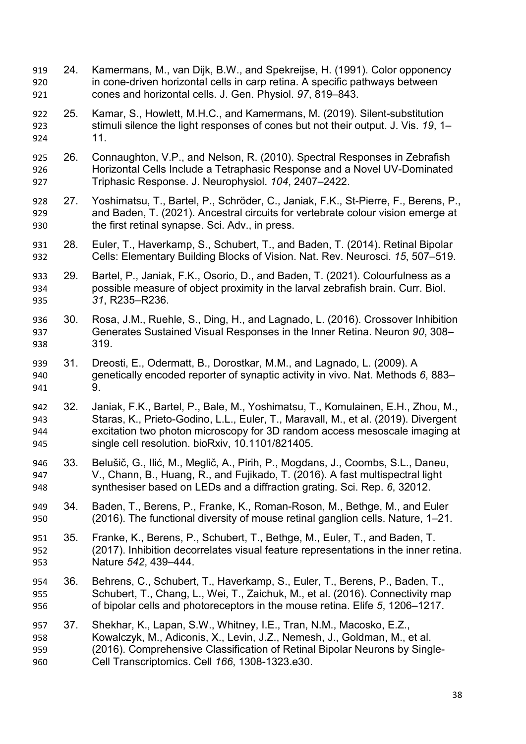- 24. Kamermans, M., van Dijk, B.W., and Spekreijse, H. (1991). Color opponency in cone-driven horizontal cells in carp retina. A specific pathways between cones and horizontal cells. J. Gen. Physiol. *97*, 819–843.
- 25. Kamar, S., Howlett, M.H.C., and Kamermans, M. (2019). Silent-substitution stimuli silence the light responses of cones but not their output. J. Vis. *19*, 1– 11.
- 26. Connaughton, V.P., and Nelson, R. (2010). Spectral Responses in Zebrafish Horizontal Cells Include a Tetraphasic Response and a Novel UV-Dominated Triphasic Response. J. Neurophysiol. *104*, 2407–2422.
- 27. Yoshimatsu, T., Bartel, P., Schröder, C., Janiak, F.K., St-Pierre, F., Berens, P., and Baden, T. (2021). Ancestral circuits for vertebrate colour vision emerge at the first retinal synapse. Sci. Adv., in press.
- 28. Euler, T., Haverkamp, S., Schubert, T., and Baden, T. (2014). Retinal Bipolar Cells: Elementary Building Blocks of Vision. Nat. Rev. Neurosci. *15*, 507–519.
- 29. Bartel, P., Janiak, F.K., Osorio, D., and Baden, T. (2021). Colourfulness as a possible measure of object proximity in the larval zebrafish brain. Curr. Biol. *31*, R235–R236.
- 30. Rosa, J.M., Ruehle, S., Ding, H., and Lagnado, L. (2016). Crossover Inhibition Generates Sustained Visual Responses in the Inner Retina. Neuron *90*, 308– 319.
- 31. Dreosti, E., Odermatt, B., Dorostkar, M.M., and Lagnado, L. (2009). A genetically encoded reporter of synaptic activity in vivo. Nat. Methods *6*, 883– 9.
- 32. Janiak, F.K., Bartel, P., Bale, M., Yoshimatsu, T., Komulainen, E.H., Zhou, M., Staras, K., Prieto-Godino, L.L., Euler, T., Maravall, M., et al. (2019). Divergent excitation two photon microscopy for 3D random access mesoscale imaging at single cell resolution. bioRxiv, 10.1101/821405.
- 33. Belušič, G., Ilić, M., Meglič, A., Pirih, P., Mogdans, J., Coombs, S.L., Daneu, V., Chann, B., Huang, R., and Fujikado, T. (2016). A fast multispectral light synthesiser based on LEDs and a diffraction grating. Sci. Rep. *6*, 32012.
- 34. Baden, T., Berens, P., Franke, K., Roman-Roson, M., Bethge, M., and Euler (2016). The functional diversity of mouse retinal ganglion cells. Nature, 1–21.
- 35. Franke, K., Berens, P., Schubert, T., Bethge, M., Euler, T., and Baden, T. (2017). Inhibition decorrelates visual feature representations in the inner retina. Nature *542*, 439–444.
- 36. Behrens, C., Schubert, T., Haverkamp, S., Euler, T., Berens, P., Baden, T., Schubert, T., Chang, L., Wei, T., Zaichuk, M., et al. (2016). Connectivity map of bipolar cells and photoreceptors in the mouse retina. Elife *5*, 1206–1217.
- 37. Shekhar, K., Lapan, S.W., Whitney, I.E., Tran, N.M., Macosko, E.Z., Kowalczyk, M., Adiconis, X., Levin, J.Z., Nemesh, J., Goldman, M., et al. (2016). Comprehensive Classification of Retinal Bipolar Neurons by Single-Cell Transcriptomics. Cell *166*, 1308-1323.e30.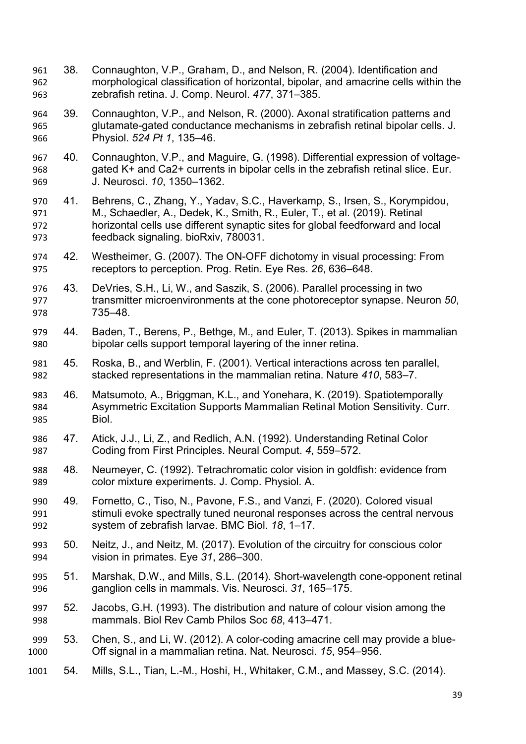- 38. Connaughton, V.P., Graham, D., and Nelson, R. (2004). Identification and morphological classification of horizontal, bipolar, and amacrine cells within the zebrafish retina. J. Comp. Neurol. *477*, 371–385.
- 39. Connaughton, V.P., and Nelson, R. (2000). Axonal stratification patterns and glutamate-gated conductance mechanisms in zebrafish retinal bipolar cells. J. Physiol. *524 Pt 1*, 135–46.
- 40. Connaughton, V.P., and Maguire, G. (1998). Differential expression of voltage- gated K+ and Ca2+ currents in bipolar cells in the zebrafish retinal slice. Eur. J. Neurosci. *10*, 1350–1362.
- 41. Behrens, C., Zhang, Y., Yadav, S.C., Haverkamp, S., Irsen, S., Korympidou, M., Schaedler, A., Dedek, K., Smith, R., Euler, T., et al. (2019). Retinal horizontal cells use different synaptic sites for global feedforward and local feedback signaling. bioRxiv, 780031.
- 42. Westheimer, G. (2007). The ON-OFF dichotomy in visual processing: From receptors to perception. Prog. Retin. Eye Res. *26*, 636–648.
- 43. DeVries, S.H., Li, W., and Saszik, S. (2006). Parallel processing in two transmitter microenvironments at the cone photoreceptor synapse. Neuron *50*, 735–48.
- 44. Baden, T., Berens, P., Bethge, M., and Euler, T. (2013). Spikes in mammalian bipolar cells support temporal layering of the inner retina.
- 45. Roska, B., and Werblin, F. (2001). Vertical interactions across ten parallel, stacked representations in the mammalian retina. Nature *410*, 583–7.
- 46. Matsumoto, A., Briggman, K.L., and Yonehara, K. (2019). Spatiotemporally Asymmetric Excitation Supports Mammalian Retinal Motion Sensitivity. Curr. Biol.
- 47. Atick, J.J., Li, Z., and Redlich, A.N. (1992). Understanding Retinal Color Coding from First Principles. Neural Comput. *4*, 559–572.
- 48. Neumeyer, C. (1992). Tetrachromatic color vision in goldfish: evidence from color mixture experiments. J. Comp. Physiol. A.
- 49. Fornetto, C., Tiso, N., Pavone, F.S., and Vanzi, F. (2020). Colored visual stimuli evoke spectrally tuned neuronal responses across the central nervous system of zebrafish larvae. BMC Biol. *18*, 1–17.
- 50. Neitz, J., and Neitz, M. (2017). Evolution of the circuitry for conscious color vision in primates. Eye *31*, 286–300.
- 51. Marshak, D.W., and Mills, S.L. (2014). Short-wavelength cone-opponent retinal ganglion cells in mammals. Vis. Neurosci. *31*, 165–175.
- 52. Jacobs, G.H. (1993). The distribution and nature of colour vision among the mammals. Biol Rev Camb Philos Soc *68*, 413–471.
- 53. Chen, S., and Li, W. (2012). A color-coding amacrine cell may provide a blue-Off signal in a mammalian retina. Nat. Neurosci. *15*, 954–956.
- 54. Mills, S.L., Tian, L.-M., Hoshi, H., Whitaker, C.M., and Massey, S.C. (2014).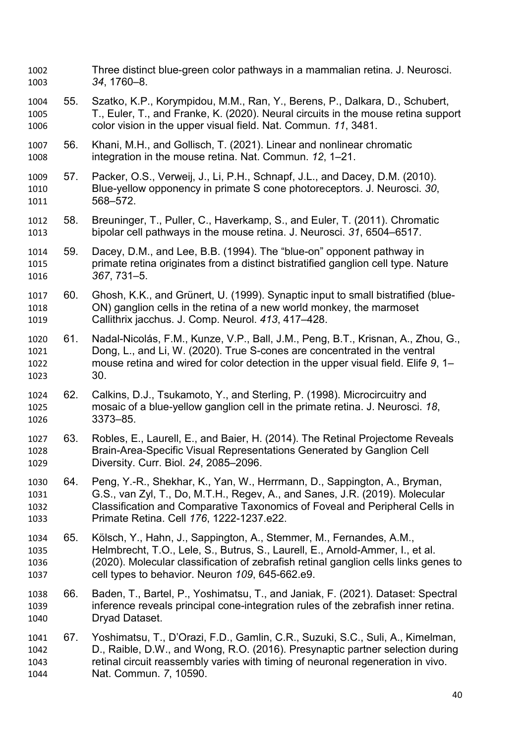- Three distinct blue-green color pathways in a mammalian retina. J. Neurosci. *34*, 1760–8.
- 55. Szatko, K.P., Korympidou, M.M., Ran, Y., Berens, P., Dalkara, D., Schubert, T., Euler, T., and Franke, K. (2020). Neural circuits in the mouse retina support color vision in the upper visual field. Nat. Commun. *11*, 3481.
- 56. Khani, M.H., and Gollisch, T. (2021). Linear and nonlinear chromatic integration in the mouse retina. Nat. Commun. *12*, 1–21.
- 57. Packer, O.S., Verweij, J., Li, P.H., Schnapf, J.L., and Dacey, D.M. (2010). Blue-yellow opponency in primate S cone photoreceptors. J. Neurosci. *30*, 568–572.
- 58. Breuninger, T., Puller, C., Haverkamp, S., and Euler, T. (2011). Chromatic bipolar cell pathways in the mouse retina. J. Neurosci. *31*, 6504–6517.
- 59. Dacey, D.M., and Lee, B.B. (1994). The "blue-on" opponent pathway in primate retina originates from a distinct bistratified ganglion cell type. Nature *367*, 731–5.
- 60. Ghosh, K.K., and Grünert, U. (1999). Synaptic input to small bistratified (blue- ON) ganglion cells in the retina of a new world monkey, the marmoset Callithrix jacchus. J. Comp. Neurol. *413*, 417–428.
- 61. Nadal-Nicolás, F.M., Kunze, V.P., Ball, J.M., Peng, B.T., Krisnan, A., Zhou, G., Dong, L., and Li, W. (2020). True S-cones are concentrated in the ventral mouse retina and wired for color detection in the upper visual field. Elife *9*, 1– 30.
- 62. Calkins, D.J., Tsukamoto, Y., and Sterling, P. (1998). Microcircuitry and mosaic of a blue-yellow ganglion cell in the primate retina. J. Neurosci. *18*, 3373–85.
- 63. Robles, E., Laurell, E., and Baier, H. (2014). The Retinal Projectome Reveals Brain-Area-Specific Visual Representations Generated by Ganglion Cell Diversity. Curr. Biol. *24*, 2085–2096.
- 64. Peng, Y.-R., Shekhar, K., Yan, W., Herrmann, D., Sappington, A., Bryman, G.S., van Zyl, T., Do, M.T.H., Regev, A., and Sanes, J.R. (2019). Molecular Classification and Comparative Taxonomics of Foveal and Peripheral Cells in Primate Retina. Cell *176*, 1222-1237.e22.
- 65. Kölsch, Y., Hahn, J., Sappington, A., Stemmer, M., Fernandes, A.M., Helmbrecht, T.O., Lele, S., Butrus, S., Laurell, E., Arnold-Ammer, I., et al. (2020). Molecular classification of zebrafish retinal ganglion cells links genes to cell types to behavior. Neuron *109*, 645-662.e9.
- 66. Baden, T., Bartel, P., Yoshimatsu, T., and Janiak, F. (2021). Dataset: Spectral inference reveals principal cone-integration rules of the zebrafish inner retina. Dryad Dataset.
- 67. Yoshimatsu, T., D'Orazi, F.D., Gamlin, C.R., Suzuki, S.C., Suli, A., Kimelman, D., Raible, D.W., and Wong, R.O. (2016). Presynaptic partner selection during retinal circuit reassembly varies with timing of neuronal regeneration in vivo. Nat. Commun. *7*, 10590.